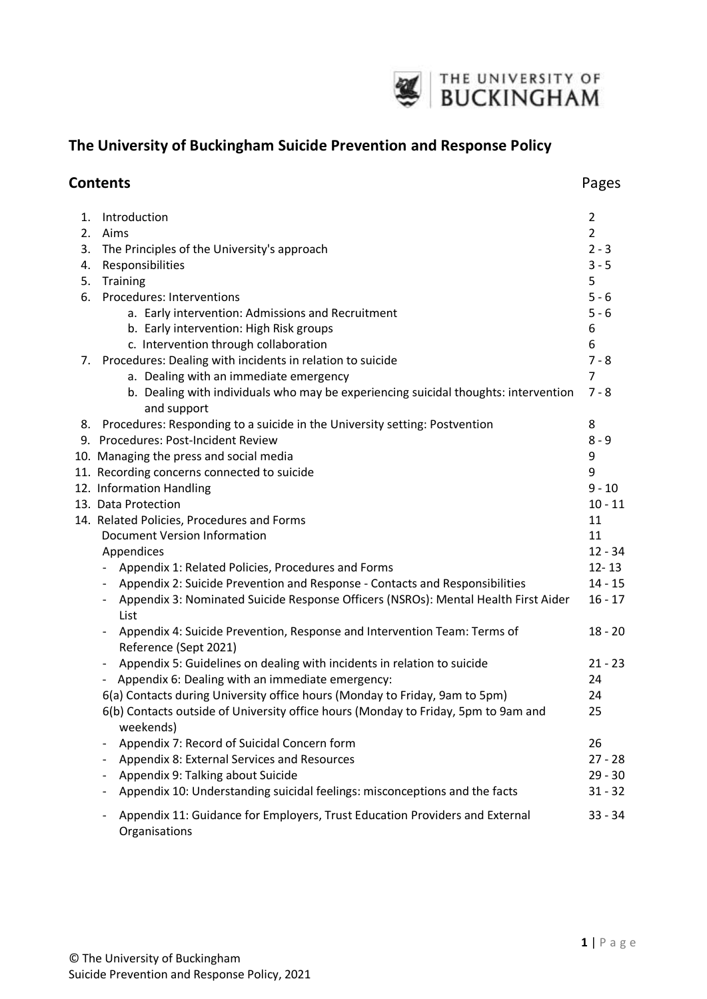

# **The University of Buckingham Suicide Prevention and Response Policy**

|    | <b>Contents</b>                                                                                    | Pages          |
|----|----------------------------------------------------------------------------------------------------|----------------|
| 1. | Introduction                                                                                       | $\overline{2}$ |
|    | 2. Aims                                                                                            | $\overline{2}$ |
|    | 3. The Principles of the University's approach                                                     | $2 - 3$        |
| 4. | Responsibilities                                                                                   | $3 - 5$        |
| 5. | Training                                                                                           | 5              |
|    | 6. Procedures: Interventions                                                                       | $5 - 6$        |
|    | a. Early intervention: Admissions and Recruitment                                                  | $5 - 6$        |
|    | b. Early intervention: High Risk groups                                                            | 6              |
|    | c. Intervention through collaboration                                                              | 6              |
| 7. | Procedures: Dealing with incidents in relation to suicide                                          | $7 - 8$        |
|    | a. Dealing with an immediate emergency                                                             | 7              |
|    | b. Dealing with individuals who may be experiencing suicidal thoughts: intervention<br>and support | $7 - 8$        |
|    | 8. Procedures: Responding to a suicide in the University setting: Postvention                      | 8              |
|    | 9. Procedures: Post-Incident Review                                                                | $8 - 9$        |
|    | 10. Managing the press and social media                                                            | 9              |
|    | 11. Recording concerns connected to suicide                                                        | 9              |
|    | 12. Information Handling                                                                           | $9 - 10$       |
|    | 13. Data Protection                                                                                | $10 - 11$      |
|    | 14. Related Policies, Procedures and Forms                                                         | 11             |
|    | <b>Document Version Information</b>                                                                | 11             |
|    | Appendices                                                                                         | $12 - 34$      |
|    | Appendix 1: Related Policies, Procedures and Forms                                                 | $12 - 13$      |
|    | Appendix 2: Suicide Prevention and Response - Contacts and Responsibilities                        | $14 - 15$      |
|    | Appendix 3: Nominated Suicide Response Officers (NSROs): Mental Health First Aider<br>List         | $16 - 17$      |
|    | Appendix 4: Suicide Prevention, Response and Intervention Team: Terms of<br>Reference (Sept 2021)  | $18 - 20$      |
|    | Appendix 5: Guidelines on dealing with incidents in relation to suicide                            | $21 - 23$      |
|    | Appendix 6: Dealing with an immediate emergency:                                                   | 24             |
|    | 6(a) Contacts during University office hours (Monday to Friday, 9am to 5pm)                        | 24             |
|    | 6(b) Contacts outside of University office hours (Monday to Friday, 5pm to 9am and<br>weekends)    | 25             |
|    | Appendix 7: Record of Suicidal Concern form                                                        | 26             |
|    | Appendix 8: External Services and Resources                                                        | $27 - 28$      |
|    | Appendix 9: Talking about Suicide                                                                  | $29 - 30$      |
|    | Appendix 10: Understanding suicidal feelings: misconceptions and the facts                         | $31 - 32$      |
|    | Appendix 11: Guidance for Employers, Trust Education Providers and External<br>Organisations       | $33 - 34$      |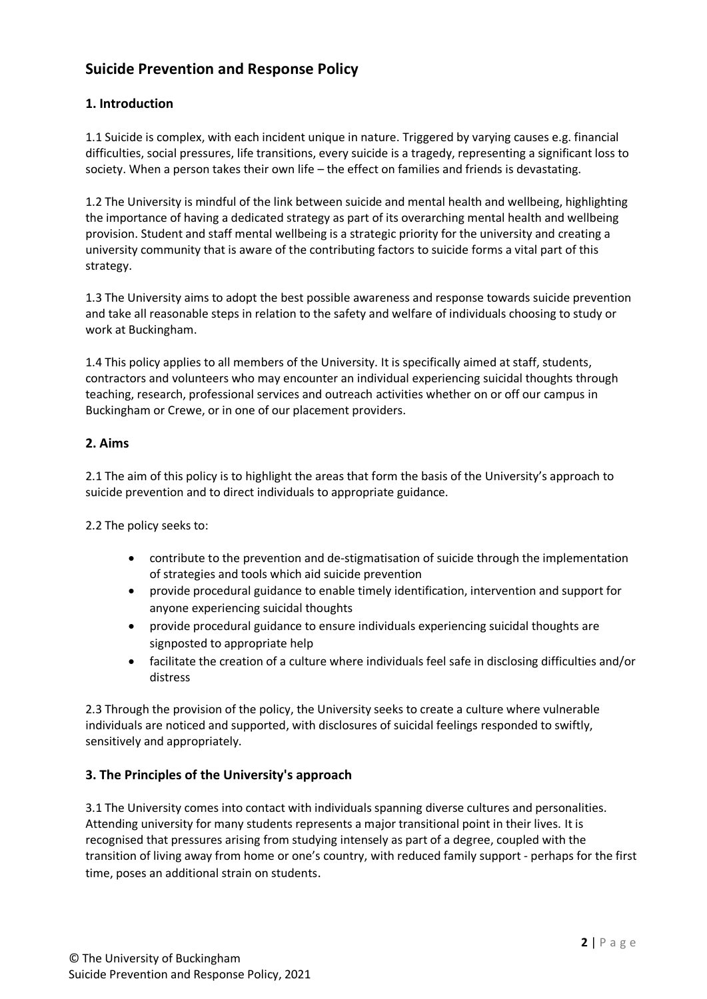# **Suicide Prevention and Response Policy**

## **1. Introduction**

1.1 Suicide is complex, with each incident unique in nature. Triggered by varying causes e.g. financial difficulties, social pressures, life transitions, every suicide is a tragedy, representing a significant loss to society. When a person takes their own life – the effect on families and friends is devastating.

1.2 The University is mindful of the link between suicide and mental health and wellbeing, highlighting the importance of having a dedicated strategy as part of its overarching mental health and wellbeing provision. Student and staff mental wellbeing is a strategic priority for the university and creating a university community that is aware of the contributing factors to suicide forms a vital part of this strategy.

1.3 The University aims to adopt the best possible awareness and response towards suicide prevention and take all reasonable steps in relation to the safety and welfare of individuals choosing to study or work at Buckingham.

1.4 This policy applies to all members of the University. It is specifically aimed at staff, students, contractors and volunteers who may encounter an individual experiencing suicidal thoughts through teaching, research, professional services and outreach activities whether on or off our campus in Buckingham or Crewe, or in one of our placement providers.

### **2. Aims**

2.1 The aim of this policy is to highlight the areas that form the basis of the University's approach to suicide prevention and to direct individuals to appropriate guidance.

2.2 The policy seeks to:

- contribute to the prevention and de-stigmatisation of suicide through the implementation of strategies and tools which aid suicide prevention
- provide procedural guidance to enable timely identification, intervention and support for anyone experiencing suicidal thoughts
- provide procedural guidance to ensure individuals experiencing suicidal thoughts are signposted to appropriate help
- facilitate the creation of a culture where individuals feel safe in disclosing difficulties and/or distress

2.3 Through the provision of the policy, the University seeks to create a culture where vulnerable individuals are noticed and supported, with disclosures of suicidal feelings responded to swiftly, sensitively and appropriately.

### **3. The Principles of the University's approach**

3.1 The University comes into contact with individuals spanning diverse cultures and personalities. Attending university for many students represents a major transitional point in their lives. It is recognised that pressures arising from studying intensely as part of a degree, coupled with the transition of living away from home or one's country, with reduced family support - perhaps for the first time, poses an additional strain on students.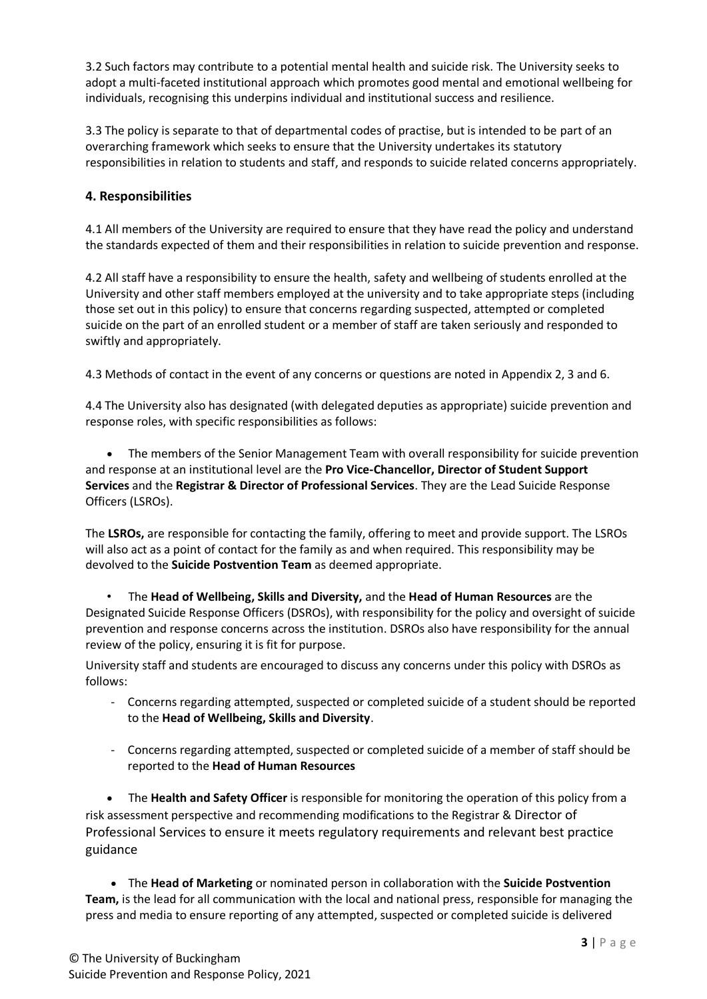3.2 Such factors may contribute to a potential mental health and suicide risk. The University seeks to adopt a multi-faceted institutional approach which promotes good mental and emotional wellbeing for individuals, recognising this underpins individual and institutional success and resilience.

3.3 The policy is separate to that of departmental codes of practise, but is intended to be part of an overarching framework which seeks to ensure that the University undertakes its statutory responsibilities in relation to students and staff, and responds to suicide related concerns appropriately.

## **4. Responsibilities**

4.1 All members of the University are required to ensure that they have read the policy and understand the standards expected of them and their responsibilities in relation to suicide prevention and response.

4.2 All staff have a responsibility to ensure the health, safety and wellbeing of students enrolled at the University and other staff members employed at the university and to take appropriate steps (including those set out in this policy) to ensure that concerns regarding suspected, attempted or completed suicide on the part of an enrolled student or a member of staff are taken seriously and responded to swiftly and appropriately.

4.3 Methods of contact in the event of any concerns or questions are noted in Appendix 2, 3 and 6.

4.4 The University also has designated (with delegated deputies as appropriate) suicide prevention and response roles, with specific responsibilities as follows:

 The members of the Senior Management Team with overall responsibility for suicide prevention and response at an institutional level are the **Pro Vice-Chancellor, Director of Student Support Services** and the **Registrar & Director of Professional Services**. They are the Lead Suicide Response Officers (LSROs).

The **LSROs,** are responsible for contacting the family, offering to meet and provide support. The LSROs will also act as a point of contact for the family as and when required. This responsibility may be devolved to the **Suicide Postvention Team** as deemed appropriate.

• The **Head of Wellbeing, Skills and Diversity,** and the **Head of Human Resources** are the Designated Suicide Response Officers (DSROs), with responsibility for the policy and oversight of suicide prevention and response concerns across the institution. DSROs also have responsibility for the annual review of the policy, ensuring it is fit for purpose.

University staff and students are encouraged to discuss any concerns under this policy with DSROs as follows:

- Concerns regarding attempted, suspected or completed suicide of a student should be reported to the **Head of Wellbeing, Skills and Diversity**.
- Concerns regarding attempted, suspected or completed suicide of a member of staff should be reported to the **Head of Human Resources**

 The **Health and Safety Officer** is responsible for monitoring the operation of this policy from a risk assessment perspective and recommending modifications to the Registrar & Director of Professional Services to ensure it meets regulatory requirements and relevant best practice guidance

 The **Head of Marketing** or nominated person in collaboration with the **Suicide Postvention Team,** is the lead for all communication with the local and national press, responsible for managing the press and media to ensure reporting of any attempted, suspected or completed suicide is delivered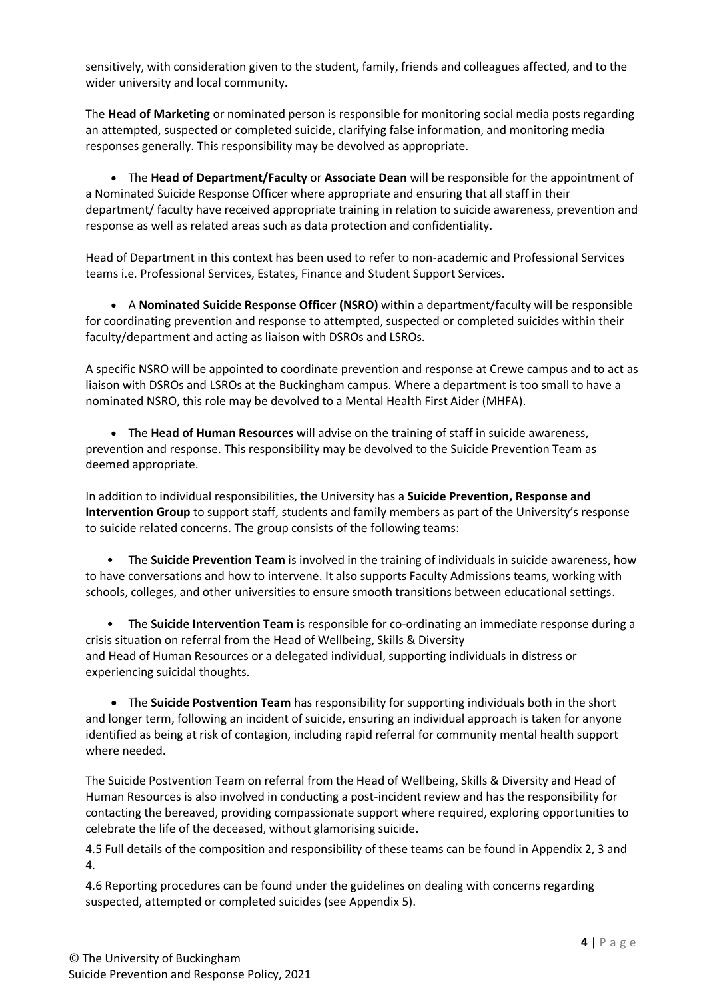sensitively, with consideration given to the student, family, friends and colleagues affected, and to the wider university and local community.

The **Head of Marketing** or nominated person is responsible for monitoring social media posts regarding an attempted, suspected or completed suicide, clarifying false information, and monitoring media responses generally. This responsibility may be devolved as appropriate.

 The **Head of Department/Faculty** or **Associate Dean** will be responsible for the appointment of a Nominated Suicide Response Officer where appropriate and ensuring that all staff in their department/ faculty have received appropriate training in relation to suicide awareness, prevention and response as well as related areas such as data protection and confidentiality.

Head of Department in this context has been used to refer to non-academic and Professional Services teams i.e. Professional Services, Estates, Finance and Student Support Services.

 A **Nominated Suicide Response Officer (NSRO)** within a department/faculty will be responsible for coordinating prevention and response to attempted, suspected or completed suicides within their faculty/department and acting as liaison with DSROs and LSROs.

A specific NSRO will be appointed to coordinate prevention and response at Crewe campus and to act as liaison with DSROs and LSROs at the Buckingham campus. Where a department is too small to have a nominated NSRO, this role may be devolved to a Mental Health First Aider (MHFA).

 The **Head of Human Resources** will advise on the training of staff in suicide awareness, prevention and response. This responsibility may be devolved to the Suicide Prevention Team as deemed appropriate.

In addition to individual responsibilities, the University has a **Suicide Prevention, Response and Intervention Group** to support staff, students and family members as part of the University's response to suicide related concerns. The group consists of the following teams:

• The **Suicide Prevention Team** is involved in the training of individuals in suicide awareness, how to have conversations and how to intervene. It also supports Faculty Admissions teams, working with schools, colleges, and other universities to ensure smooth transitions between educational settings.

• The **Suicide Intervention Team** is responsible for co-ordinating an immediate response during a crisis situation on referral from the Head of Wellbeing, Skills & Diversity and Head of Human Resources or a delegated individual, supporting individuals in distress or experiencing suicidal thoughts.

 The **Suicide Postvention Team** has responsibility for supporting individuals both in the short and longer term, following an incident of suicide, ensuring an individual approach is taken for anyone identified as being at risk of contagion, including rapid referral for community mental health support where needed.

The Suicide Postvention Team on referral from the Head of Wellbeing, Skills & Diversity and Head of Human Resources is also involved in conducting a post-incident review and has the responsibility for contacting the bereaved, providing compassionate support where required, exploring opportunities to celebrate the life of the deceased, without glamorising suicide.

4.5 Full details of the composition and responsibility of these teams can be found in Appendix 2, 3 and 4.

4.6 Reporting procedures can be found under the guidelines on dealing with concerns regarding suspected, attempted or completed suicides (see Appendix 5).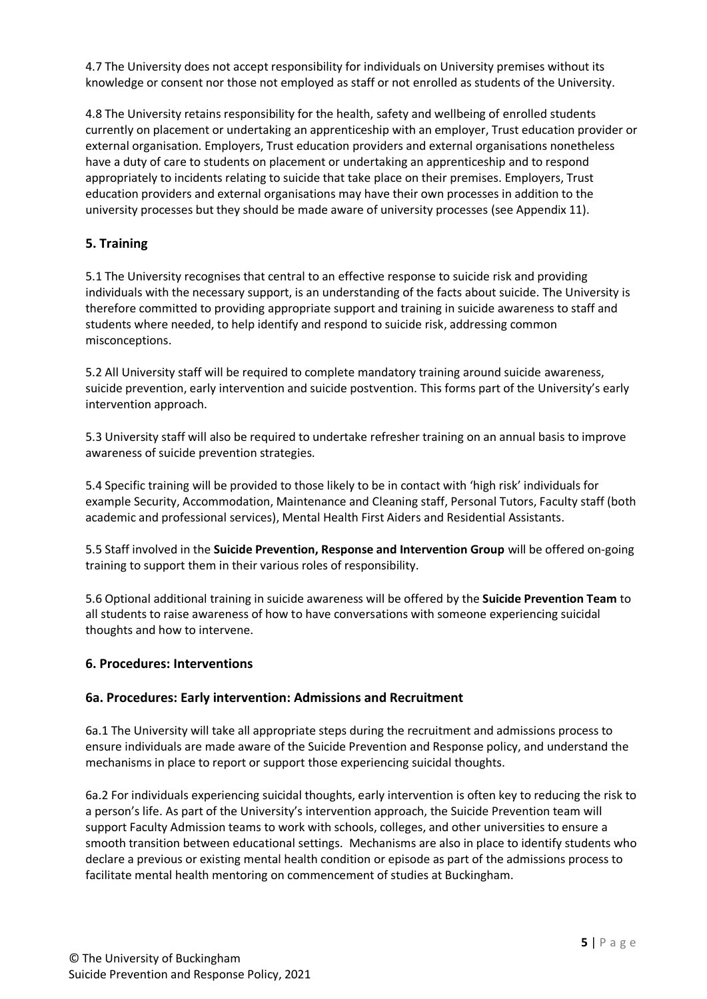4.7 The University does not accept responsibility for individuals on University premises without its knowledge or consent nor those not employed as staff or not enrolled as students of the University.

4.8 The University retains responsibility for the health, safety and wellbeing of enrolled students currently on placement or undertaking an apprenticeship with an employer, Trust education provider or external organisation. Employers, Trust education providers and external organisations nonetheless have a duty of care to students on placement or undertaking an apprenticeship and to respond appropriately to incidents relating to suicide that take place on their premises. Employers, Trust education providers and external organisations may have their own processes in addition to the university processes but they should be made aware of university processes (see Appendix 11).

## **5. Training**

5.1 The University recognises that central to an effective response to suicide risk and providing individuals with the necessary support, is an understanding of the facts about suicide. The University is therefore committed to providing appropriate support and training in suicide awareness to staff and students where needed, to help identify and respond to suicide risk, addressing common misconceptions.

5.2 All University staff will be required to complete mandatory training around suicide awareness, suicide prevention, early intervention and suicide postvention. This forms part of the University's early intervention approach.

5.3 University staff will also be required to undertake refresher training on an annual basis to improve awareness of suicide prevention strategies.

5.4 Specific training will be provided to those likely to be in contact with 'high risk' individuals for example Security, Accommodation, Maintenance and Cleaning staff, Personal Tutors, Faculty staff (both academic and professional services), Mental Health First Aiders and Residential Assistants.

5.5 Staff involved in the **Suicide Prevention, Response and Intervention Group** will be offered on-going training to support them in their various roles of responsibility.

5.6 Optional additional training in suicide awareness will be offered by the **Suicide Prevention Team** to all students to raise awareness of how to have conversations with someone experiencing suicidal thoughts and how to intervene.

### **6. Procedures: Interventions**

### **6a. Procedures: Early intervention: Admissions and Recruitment**

6a.1 The University will take all appropriate steps during the recruitment and admissions process to ensure individuals are made aware of the Suicide Prevention and Response policy, and understand the mechanisms in place to report or support those experiencing suicidal thoughts.

6a.2 For individuals experiencing suicidal thoughts, early intervention is often key to reducing the risk to a person's life. As part of the University's intervention approach, the Suicide Prevention team will support Faculty Admission teams to work with schools, colleges, and other universities to ensure a smooth transition between educational settings. Mechanisms are also in place to identify students who declare a previous or existing mental health condition or episode as part of the admissions process to facilitate mental health mentoring on commencement of studies at Buckingham.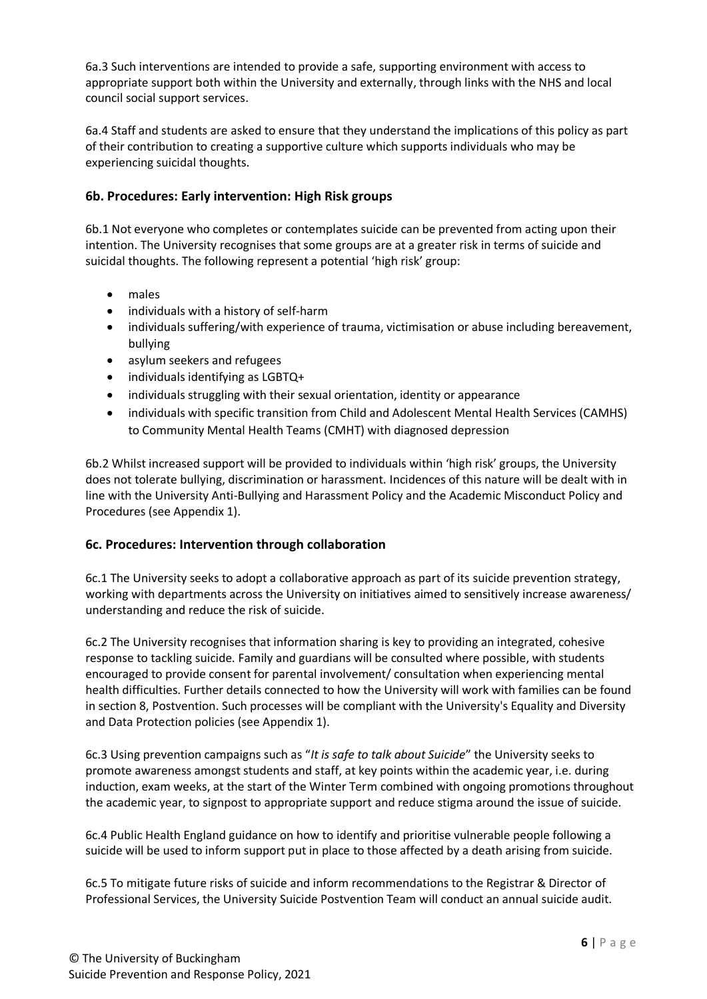6a.3 Such interventions are intended to provide a safe, supporting environment with access to appropriate support both within the University and externally, through links with the NHS and local council social support services.

6a.4 Staff and students are asked to ensure that they understand the implications of this policy as part of their contribution to creating a supportive culture which supports individuals who may be experiencing suicidal thoughts.

## **6b. Procedures: Early intervention: High Risk groups**

6b.1 Not everyone who completes or contemplates suicide can be prevented from acting upon their intention. The University recognises that some groups are at a greater risk in terms of suicide and suicidal thoughts. The following represent a potential 'high risk' group:

- males
- individuals with a history of self-harm
- individuals suffering/with experience of trauma, victimisation or abuse including bereavement, bullying
- asylum seekers and refugees
- individuals identifying as LGBTQ+
- individuals struggling with their sexual orientation, identity or appearance
- individuals with specific transition from Child and Adolescent Mental Health Services (CAMHS) to Community Mental Health Teams (CMHT) with diagnosed depression

6b.2 Whilst increased support will be provided to individuals within 'high risk' groups, the University does not tolerate bullying, discrimination or harassment. Incidences of this nature will be dealt with in line with the University Anti-Bullying and Harassment Policy and the Academic Misconduct Policy and Procedures (see Appendix 1).

### **6c. Procedures: Intervention through collaboration**

6c.1 The University seeks to adopt a collaborative approach as part of its suicide prevention strategy, working with departments across the University on initiatives aimed to sensitively increase awareness/ understanding and reduce the risk of suicide.

6c.2 The University recognises that information sharing is key to providing an integrated, cohesive response to tackling suicide. Family and guardians will be consulted where possible, with students encouraged to provide consent for parental involvement/ consultation when experiencing mental health difficulties. Further details connected to how the University will work with families can be found in section 8, Postvention. Such processes will be compliant with the University's Equality and Diversity and Data Protection policies (see Appendix 1).

6c.3 Using prevention campaigns such as "*It is safe to talk about Suicide*" the University seeks to promote awareness amongst students and staff, at key points within the academic year, i.e. during induction, exam weeks, at the start of the Winter Term combined with ongoing promotions throughout the academic year, to signpost to appropriate support and reduce stigma around the issue of suicide.

6c.4 Public Health England guidance on how to identify and prioritise vulnerable people following a suicide will be used to inform support put in place to those affected by a death arising from suicide.

6c.5 To mitigate future risks of suicide and inform recommendations to the Registrar & Director of Professional Services, the University Suicide Postvention Team will conduct an annual suicide audit.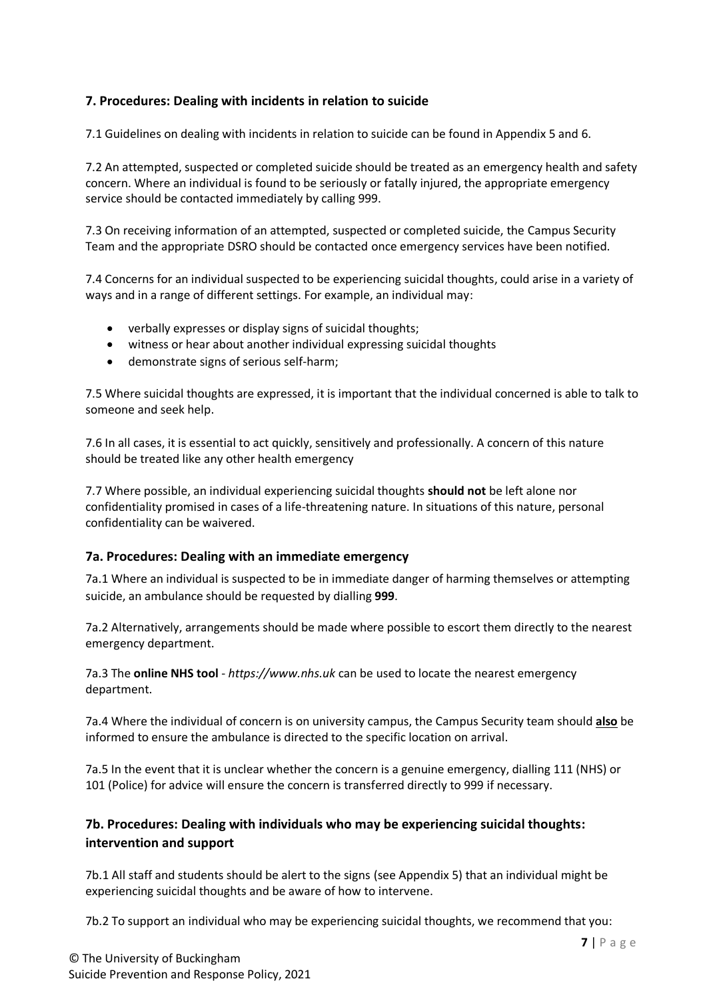## **7. Procedures: Dealing with incidents in relation to suicide**

7.1 Guidelines on dealing with incidents in relation to suicide can be found in Appendix 5 and 6.

7.2 An attempted, suspected or completed suicide should be treated as an emergency health and safety concern. Where an individual is found to be seriously or fatally injured, the appropriate emergency service should be contacted immediately by calling 999.

7.3 On receiving information of an attempted, suspected or completed suicide, the Campus Security Team and the appropriate DSRO should be contacted once emergency services have been notified.

7.4 Concerns for an individual suspected to be experiencing suicidal thoughts, could arise in a variety of ways and in a range of different settings. For example, an individual may:

- verbally expresses or display signs of suicidal thoughts;
- witness or hear about another individual expressing suicidal thoughts
- demonstrate signs of serious self-harm;

7.5 Where suicidal thoughts are expressed, it is important that the individual concerned is able to talk to someone and seek help.

7.6 In all cases, it is essential to act quickly, sensitively and professionally. A concern of this nature should be treated like any other health emergency

7.7 Where possible, an individual experiencing suicidal thoughts **should not** be left alone nor confidentiality promised in cases of a life-threatening nature. In situations of this nature, personal confidentiality can be waivered.

### **7a. Procedures: Dealing with an immediate emergency**

7a.1 Where an individual is suspected to be in immediate danger of harming themselves or attempting suicide, an ambulance should be requested by dialling **999**.

7a.2 Alternatively, arrangements should be made where possible to escort them directly to the nearest emergency department.

7a.3 The **online NHS tool** - *https://www.nhs.uk* can be used to locate the nearest emergency department.

7a.4 Where the individual of concern is on university campus, the Campus Security team should **also** be informed to ensure the ambulance is directed to the specific location on arrival.

7a.5 In the event that it is unclear whether the concern is a genuine emergency, dialling 111 (NHS) or 101 (Police) for advice will ensure the concern is transferred directly to 999 if necessary.

# **7b. Procedures: Dealing with individuals who may be experiencing suicidal thoughts: intervention and support**

7b.1 All staff and students should be alert to the signs (see Appendix 5) that an individual might be experiencing suicidal thoughts and be aware of how to intervene.

7b.2 To support an individual who may be experiencing suicidal thoughts, we recommend that you: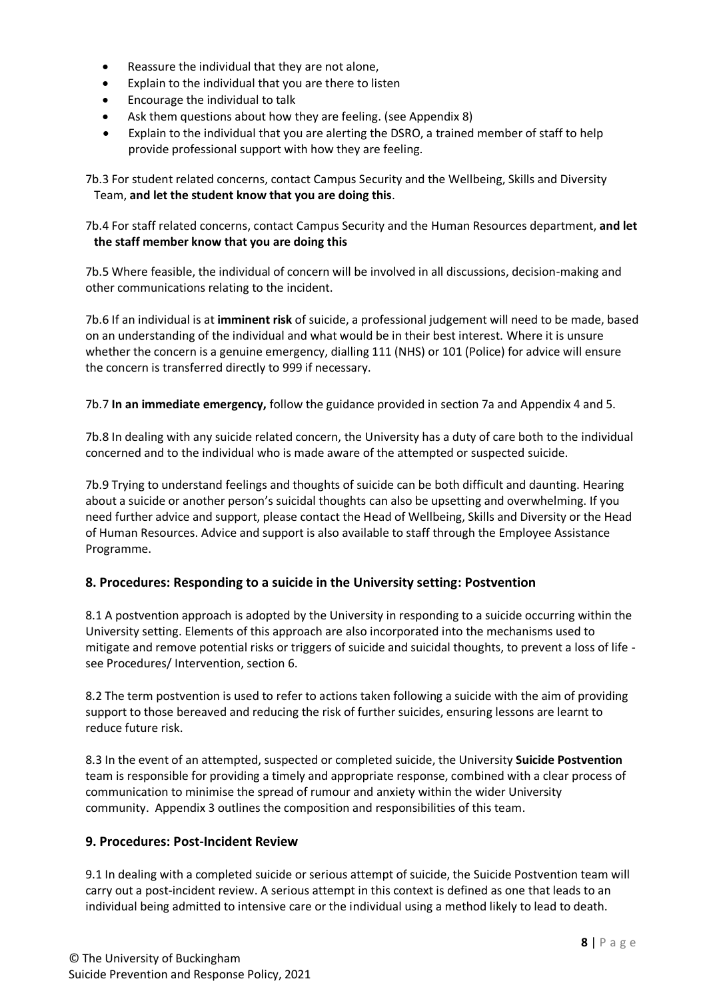- Reassure the individual that they are not alone,
- Explain to the individual that you are there to listen
- Encourage the individual to talk
- Ask them questions about how they are feeling. (see Appendix 8)
- Explain to the individual that you are alerting the DSRO, a trained member of staff to help provide professional support with how they are feeling.

7b.3 For student related concerns, contact Campus Security and the Wellbeing, Skills and Diversity Team, **and let the student know that you are doing this**.

7b.4 For staff related concerns, contact Campus Security and the Human Resources department, **and let the staff member know that you are doing this**

7b.5 Where feasible, the individual of concern will be involved in all discussions, decision-making and other communications relating to the incident.

7b.6 If an individual is at **imminent risk** of suicide, a professional judgement will need to be made, based on an understanding of the individual and what would be in their best interest. Where it is unsure whether the concern is a genuine emergency, dialling 111 (NHS) or 101 (Police) for advice will ensure the concern is transferred directly to 999 if necessary.

7b.7 **In an immediate emergency,** follow the guidance provided in section 7a and Appendix 4 and 5.

7b.8 In dealing with any suicide related concern, the University has a duty of care both to the individual concerned and to the individual who is made aware of the attempted or suspected suicide.

7b.9 Trying to understand feelings and thoughts of suicide can be both difficult and daunting. Hearing about a suicide or another person's suicidal thoughts can also be upsetting and overwhelming. If you need further advice and support, please contact the Head of Wellbeing, Skills and Diversity or the Head of Human Resources. Advice and support is also available to staff through the Employee Assistance Programme.

# **8. Procedures: Responding to a suicide in the University setting: Postvention**

8.1 A postvention approach is adopted by the University in responding to a suicide occurring within the University setting. Elements of this approach are also incorporated into the mechanisms used to mitigate and remove potential risks or triggers of suicide and suicidal thoughts, to prevent a loss of life see Procedures/ Intervention, section 6.

8.2 The term postvention is used to refer to actions taken following a suicide with the aim of providing support to those bereaved and reducing the risk of further suicides, ensuring lessons are learnt to reduce future risk.

8.3 In the event of an attempted, suspected or completed suicide, the University **Suicide Postvention**  team is responsible for providing a timely and appropriate response, combined with a clear process of communication to minimise the spread of rumour and anxiety within the wider University community. Appendix 3 outlines the composition and responsibilities of this team.

### **9. Procedures: Post-Incident Review**

9.1 In dealing with a completed suicide or serious attempt of suicide, the Suicide Postvention team will carry out a post-incident review. A serious attempt in this context is defined as one that leads to an individual being admitted to intensive care or the individual using a method likely to lead to death.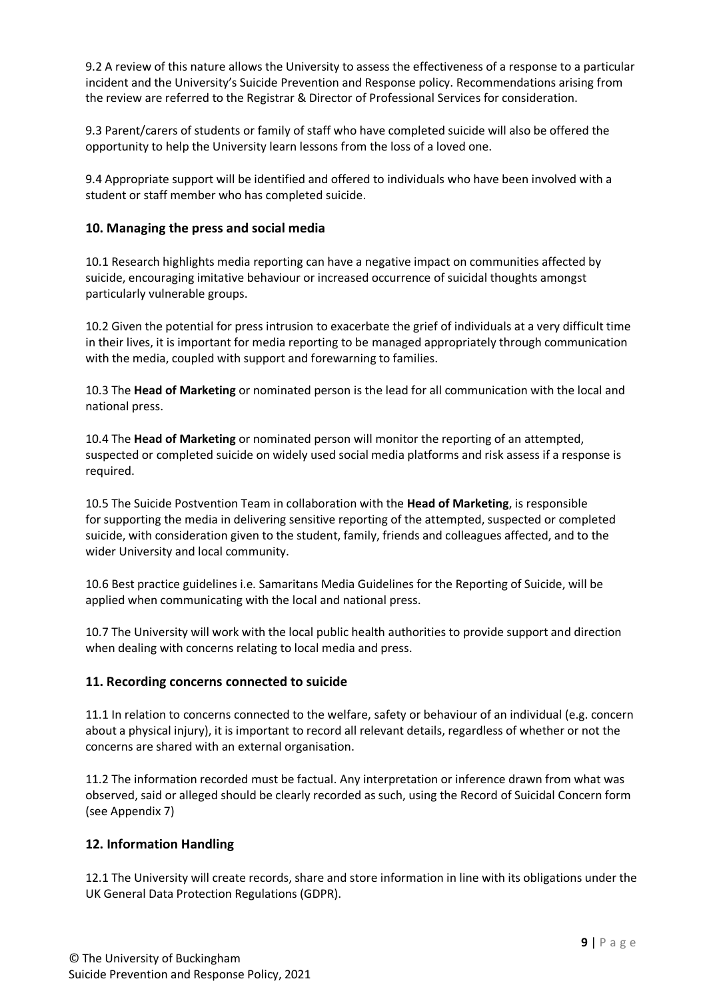9.2 A review of this nature allows the University to assess the effectiveness of a response to a particular incident and the University's Suicide Prevention and Response policy. Recommendations arising from the review are referred to the Registrar & Director of Professional Services for consideration.

9.3 Parent/carers of students or family of staff who have completed suicide will also be offered the opportunity to help the University learn lessons from the loss of a loved one.

9.4 Appropriate support will be identified and offered to individuals who have been involved with a student or staff member who has completed suicide.

### **10. Managing the press and social media**

10.1 Research highlights media reporting can have a negative impact on communities affected by suicide, encouraging imitative behaviour or increased occurrence of suicidal thoughts amongst particularly vulnerable groups.

10.2 Given the potential for press intrusion to exacerbate the grief of individuals at a very difficult time in their lives, it is important for media reporting to be managed appropriately through communication with the media, coupled with support and forewarning to families.

10.3 The **Head of Marketing** or nominated person is the lead for all communication with the local and national press.

10.4 The **Head of Marketing** or nominated person will monitor the reporting of an attempted, suspected or completed suicide on widely used social media platforms and risk assess if a response is required.

10.5 The Suicide Postvention Team in collaboration with the **Head of Marketing**, is responsible for supporting the media in delivering sensitive reporting of the attempted, suspected or completed suicide, with consideration given to the student, family, friends and colleagues affected, and to the wider University and local community.

10.6 Best practice guidelines i.e. Samaritans Media Guidelines for the Reporting of Suicide, will be applied when communicating with the local and national press.

10.7 The University will work with the local public health authorities to provide support and direction when dealing with concerns relating to local media and press.

### **11. Recording concerns connected to suicide**

11.1 In relation to concerns connected to the welfare, safety or behaviour of an individual (e.g. concern about a physical injury), it is important to record all relevant details, regardless of whether or not the concerns are shared with an external organisation.

11.2 The information recorded must be factual. Any interpretation or inference drawn from what was observed, said or alleged should be clearly recorded as such, using the Record of Suicidal Concern form (see Appendix 7)

### **12. Information Handling**

12.1 The University will create records, share and store information in line with its obligations under the UK General Data Protection Regulations (GDPR).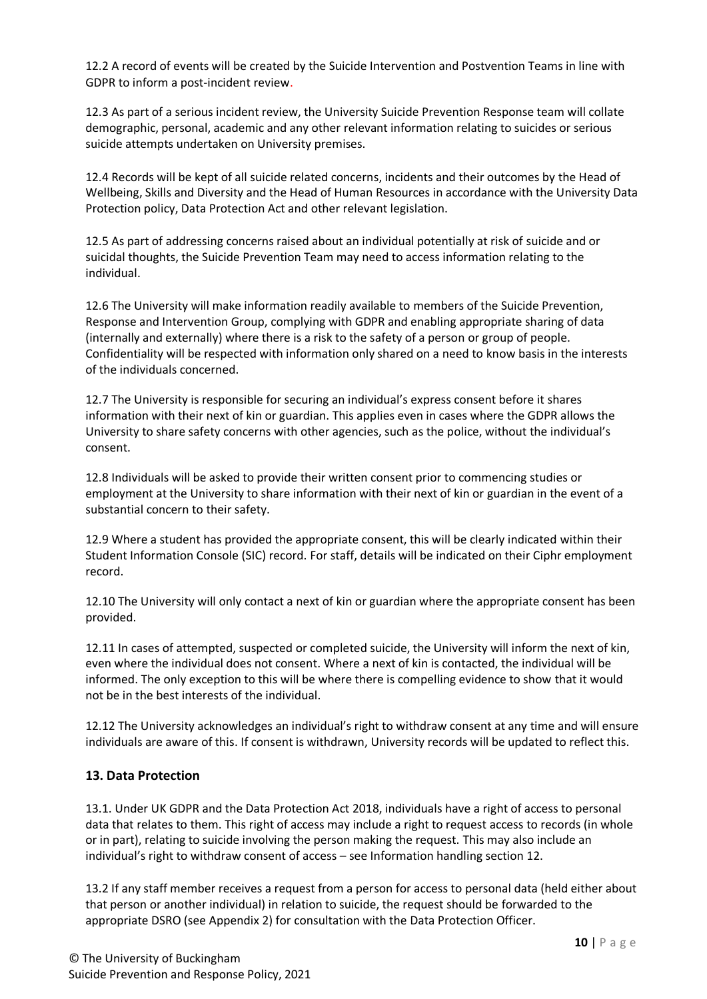12.2 A record of events will be created by the Suicide Intervention and Postvention Teams in line with GDPR to inform a post-incident review.

12.3 As part of a serious incident review, the University Suicide Prevention Response team will collate demographic, personal, academic and any other relevant information relating to suicides or serious suicide attempts undertaken on University premises.

12.4 Records will be kept of all suicide related concerns, incidents and their outcomes by the Head of Wellbeing, Skills and Diversity and the Head of Human Resources in accordance with the University Data Protection policy, Data Protection Act and other relevant legislation.

12.5 As part of addressing concerns raised about an individual potentially at risk of suicide and or suicidal thoughts, the Suicide Prevention Team may need to access information relating to the individual.

12.6 The University will make information readily available to members of the Suicide Prevention, Response and Intervention Group, complying with GDPR and enabling appropriate sharing of data (internally and externally) where there is a risk to the safety of a person or group of people. Confidentiality will be respected with information only shared on a need to know basis in the interests of the individuals concerned.

12.7 The University is responsible for securing an individual's express consent before it shares information with their next of kin or guardian. This applies even in cases where the GDPR allows the University to share safety concerns with other agencies, such as the police, without the individual's consent.

12.8 Individuals will be asked to provide their written consent prior to commencing studies or employment at the University to share information with their next of kin or guardian in the event of a substantial concern to their safety.

12.9 Where a student has provided the appropriate consent, this will be clearly indicated within their Student Information Console (SIC) record. For staff, details will be indicated on their Ciphr employment record.

12.10 The University will only contact a next of kin or guardian where the appropriate consent has been provided.

12.11 In cases of attempted, suspected or completed suicide, the University will inform the next of kin, even where the individual does not consent. Where a next of kin is contacted, the individual will be informed. The only exception to this will be where there is compelling evidence to show that it would not be in the best interests of the individual.

12.12 The University acknowledges an individual's right to withdraw consent at any time and will ensure individuals are aware of this. If consent is withdrawn, University records will be updated to reflect this.

### **13. Data Protection**

13.1. Under UK GDPR and the Data Protection Act 2018, individuals have a right of access to personal data that relates to them. This right of access may include a right to request access to records (in whole or in part), relating to suicide involving the person making the request. This may also include an individual's right to withdraw consent of access – see Information handling section 12.

13.2 If any staff member receives a request from a person for access to personal data (held either about that person or another individual) in relation to suicide, the request should be forwarded to the appropriate DSRO (see Appendix 2) for consultation with the Data Protection Officer.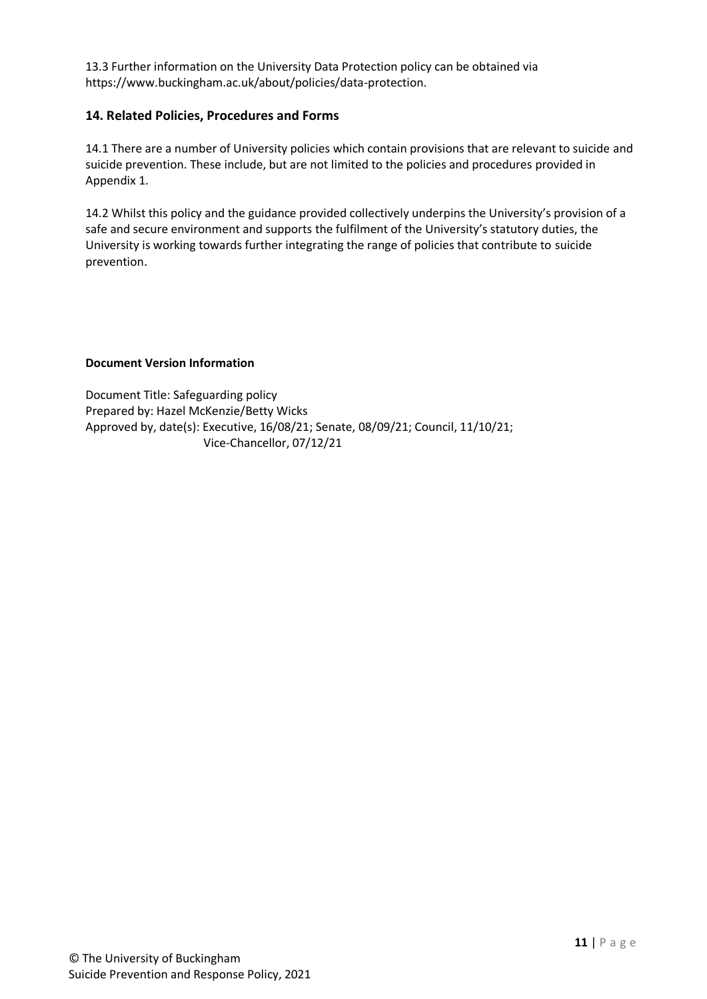13.3 Further information on the University Data Protection policy can be obtained via https://www.buckingham.ac.uk/about/policies/data-protection.

### **14. Related Policies, Procedures and Forms**

14.1 There are a number of University policies which contain provisions that are relevant to suicide and suicide prevention. These include, but are not limited to the policies and procedures provided in Appendix 1.

14.2 Whilst this policy and the guidance provided collectively underpins the University's provision of a safe and secure environment and supports the fulfilment of the University's statutory duties, the University is working towards further integrating the range of policies that contribute to suicide prevention.

#### **Document Version Information**

Document Title: Safeguarding policy Prepared by: Hazel McKenzie/Betty Wicks Approved by, date(s): Executive, 16/08/21; Senate, 08/09/21; Council, 11/10/21; Vice-Chancellor, 07/12/21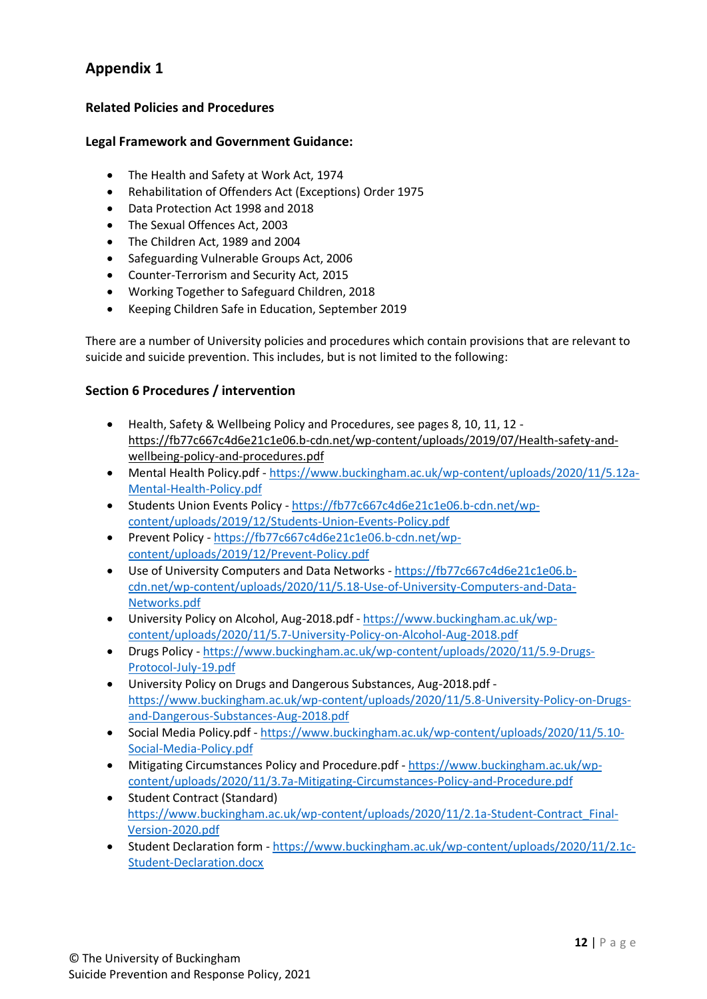## **Related Policies and Procedures**

### **Legal Framework and Government Guidance:**

- The Health and Safety at Work Act, 1974
- Rehabilitation of Offenders Act (Exceptions) Order 1975
- Data Protection Act 1998 and 2018
- The Sexual Offences Act, 2003
- The Children Act, 1989 and 2004
- Safeguarding Vulnerable Groups Act, 2006
- Counter-Terrorism and Security Act, 2015
- Working Together to Safeguard Children, 2018
- Keeping Children Safe in Education, September 2019

There are a number of University policies and procedures which contain provisions that are relevant to suicide and suicide prevention. This includes, but is not limited to the following:

### **Section 6 Procedures / intervention**

- Health, Safety & Wellbeing Policy and Procedures, see pages 8, 10, 11, 12 [https://fb77c667c4d6e21c1e06.b-cdn.net/wp-content/uploads/2019/07/Health-safety-and](https://fb77c667c4d6e21c1e06.b-cdn.net/wp-content/uploads/2019/07/Health-safety-and-wellbeing-policy-and-procedures.pdf)[wellbeing-policy-and-procedures.pdf](https://fb77c667c4d6e21c1e06.b-cdn.net/wp-content/uploads/2019/07/Health-safety-and-wellbeing-policy-and-procedures.pdf)
- Mental Health Policy.pdf [https://www.buckingham.ac.uk/wp-content/uploads/2020/11/5.12a-](https://www.buckingham.ac.uk/wp-content/uploads/2020/11/5.12a-Mental-Health-Policy.pdf)[Mental-Health-Policy.pdf](https://www.buckingham.ac.uk/wp-content/uploads/2020/11/5.12a-Mental-Health-Policy.pdf)
- Students Union Events Policy [https://fb77c667c4d6e21c1e06.b-cdn.net/wp](https://fb77c667c4d6e21c1e06.b-cdn.net/wp-content/uploads/2019/12/Students-Union-Events-Policy.pdf)[content/uploads/2019/12/Students-Union-Events-Policy.pdf](https://fb77c667c4d6e21c1e06.b-cdn.net/wp-content/uploads/2019/12/Students-Union-Events-Policy.pdf)
- Prevent Policy [https://fb77c667c4d6e21c1e06.b-cdn.net/wp](https://fb77c667c4d6e21c1e06.b-cdn.net/wp-content/uploads/2019/12/Prevent-Policy.pdf)[content/uploads/2019/12/Prevent-Policy.pdf](https://fb77c667c4d6e21c1e06.b-cdn.net/wp-content/uploads/2019/12/Prevent-Policy.pdf)
- Use of University Computers and Data Networks [https://fb77c667c4d6e21c1e06.b](https://fb77c667c4d6e21c1e06.b-cdn.net/wp-content/uploads/2020/11/5.18-Use-of-University-Computers-and-Data-Networks.pdf)[cdn.net/wp-content/uploads/2020/11/5.18-Use-of-University-Computers-and-Data-](https://fb77c667c4d6e21c1e06.b-cdn.net/wp-content/uploads/2020/11/5.18-Use-of-University-Computers-and-Data-Networks.pdf)[Networks.pdf](https://fb77c667c4d6e21c1e06.b-cdn.net/wp-content/uploads/2020/11/5.18-Use-of-University-Computers-and-Data-Networks.pdf)
- [University Policy on Alcohol, Aug-2018.pdf](https://fb77c667c4d6e21c1e06.b-cdn.net/wp-content/uploads/2020/11/5.7-University-Policy-on-Alcohol-Aug-2018.pdf) [https://www.buckingham.ac.uk/wp](https://www.buckingham.ac.uk/wp-content/uploads/2020/11/5.7-University-Policy-on-Alcohol-Aug-2018.pdf)[content/uploads/2020/11/5.7-University-Policy-on-Alcohol-Aug-2018.pdf](https://www.buckingham.ac.uk/wp-content/uploads/2020/11/5.7-University-Policy-on-Alcohol-Aug-2018.pdf)
- Drugs Policy [https://www.buckingham.ac.uk/wp-content/uploads/2020/11/5.9-Drugs-](https://www.buckingham.ac.uk/wp-content/uploads/2020/11/5.9-Drugs-Protocol-July-19.pdf)[Protocol-July-19.pdf](https://www.buckingham.ac.uk/wp-content/uploads/2020/11/5.9-Drugs-Protocol-July-19.pdf)
- University Policy on Drugs and Dangerous Substances, Aug-2018.pdf [https://www.buckingham.ac.uk/wp-content/uploads/2020/11/5.8-University-Policy-on-Drugs](https://www.buckingham.ac.uk/wp-content/uploads/2020/11/5.8-University-Policy-on-Drugs-and-Dangerous-Substances-Aug-2018.pdf)[and-Dangerous-Substances-Aug-2018.pdf](https://www.buckingham.ac.uk/wp-content/uploads/2020/11/5.8-University-Policy-on-Drugs-and-Dangerous-Substances-Aug-2018.pdf)
- Social Media Policy.pdf [https://www.buckingham.ac.uk/wp-content/uploads/2020/11/5.10-](https://www.buckingham.ac.uk/wp-content/uploads/2020/11/5.10-Social-Media-Policy.pdf) [Social-Media-Policy.pdf](https://www.buckingham.ac.uk/wp-content/uploads/2020/11/5.10-Social-Media-Policy.pdf)
- Mitigating Circumstances Policy and Procedure.pdf [https://www.buckingham.ac.uk/wp](https://www.buckingham.ac.uk/wp-content/uploads/2020/11/3.7a-Mitigating-Circumstances-Policy-and-Procedure.pdf)[content/uploads/2020/11/3.7a-Mitigating-Circumstances-Policy-and-Procedure.pdf](https://www.buckingham.ac.uk/wp-content/uploads/2020/11/3.7a-Mitigating-Circumstances-Policy-and-Procedure.pdf)
- Student Contract (Standard) [https://www.buckingham.ac.uk/wp-content/uploads/2020/11/2.1a-Student-Contract\\_Final-](https://www.buckingham.ac.uk/wp-content/uploads/2020/11/2.1a-Student-Contract_Final-Version-2020.pdf)[Version-2020.pdf](https://www.buckingham.ac.uk/wp-content/uploads/2020/11/2.1a-Student-Contract_Final-Version-2020.pdf)
- Student Declaration form [https://www.buckingham.ac.uk/wp-content/uploads/2020/11/2.1c-](https://www.buckingham.ac.uk/wp-content/uploads/2020/11/2.1c-Student-Declaration.docx)[Student-Declaration.docx](https://www.buckingham.ac.uk/wp-content/uploads/2020/11/2.1c-Student-Declaration.docx)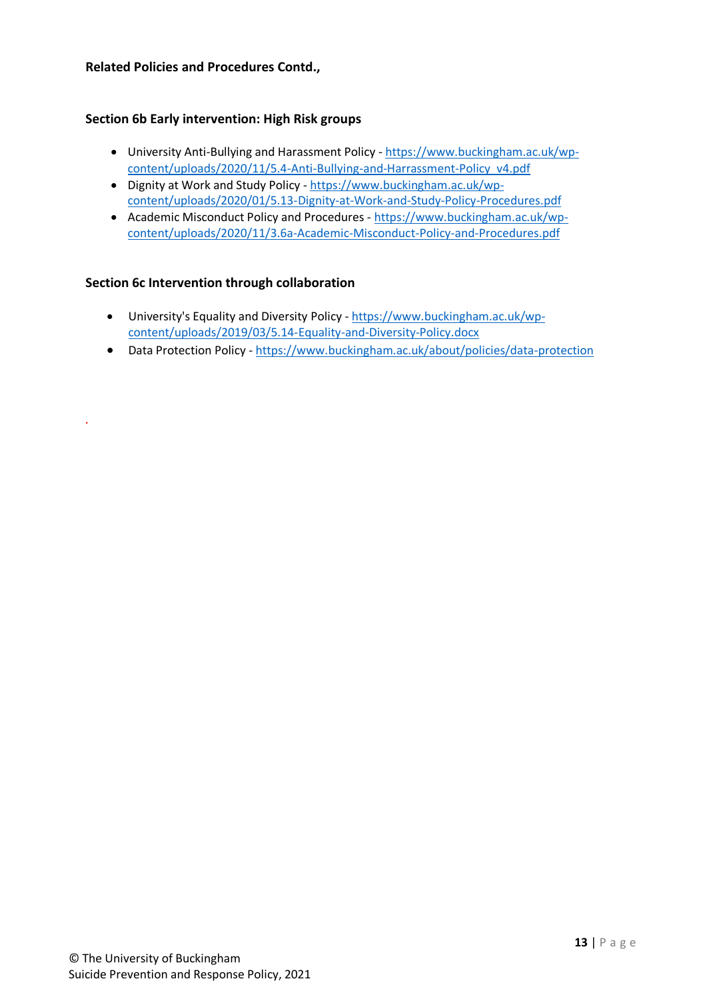### **Related Policies and Procedures Contd.,**

### **Section 6b Early intervention: High Risk groups**

- University Anti-Bullying and Harassment Policy [https://www.buckingham.ac.uk/wp](https://www.buckingham.ac.uk/wp-content/uploads/2020/11/5.4-Anti-Bullying-and-Harrassment-Policy_v4.pdf)[content/uploads/2020/11/5.4-Anti-Bullying-and-Harrassment-Policy\\_v4.pdf](https://www.buckingham.ac.uk/wp-content/uploads/2020/11/5.4-Anti-Bullying-and-Harrassment-Policy_v4.pdf)
- Dignity at Work and Study Policy [https://www.buckingham.ac.uk/wp](https://www.buckingham.ac.uk/wp-content/uploads/2020/01/5.13-Dignity-at-Work-and-Study-Policy-Procedures.pdf)[content/uploads/2020/01/5.13-Dignity-at-Work-and-Study-Policy-Procedures.pdf](https://www.buckingham.ac.uk/wp-content/uploads/2020/01/5.13-Dignity-at-Work-and-Study-Policy-Procedures.pdf)
- Academic Misconduct Policy and Procedures [https://www.buckingham.ac.uk/wp](https://www.buckingham.ac.uk/wp-content/uploads/2020/11/3.6a-Academic-Misconduct-Policy-and-Procedures.pdf)[content/uploads/2020/11/3.6a-Academic-Misconduct-Policy-and-Procedures.pdf](https://www.buckingham.ac.uk/wp-content/uploads/2020/11/3.6a-Academic-Misconduct-Policy-and-Procedures.pdf)

### **Section 6c Intervention through collaboration**

*.* 

- University's Equality and Diversity Policy [https://www.buckingham.ac.uk/wp](https://www.buckingham.ac.uk/wp-content/uploads/2019/03/5.14-Equality-and-Diversity-Policy.docx)[content/uploads/2019/03/5.14-Equality-and-Diversity-Policy.docx](https://www.buckingham.ac.uk/wp-content/uploads/2019/03/5.14-Equality-and-Diversity-Policy.docx)
- Data Protection Policy <https://www.buckingham.ac.uk/about/policies/data-protection>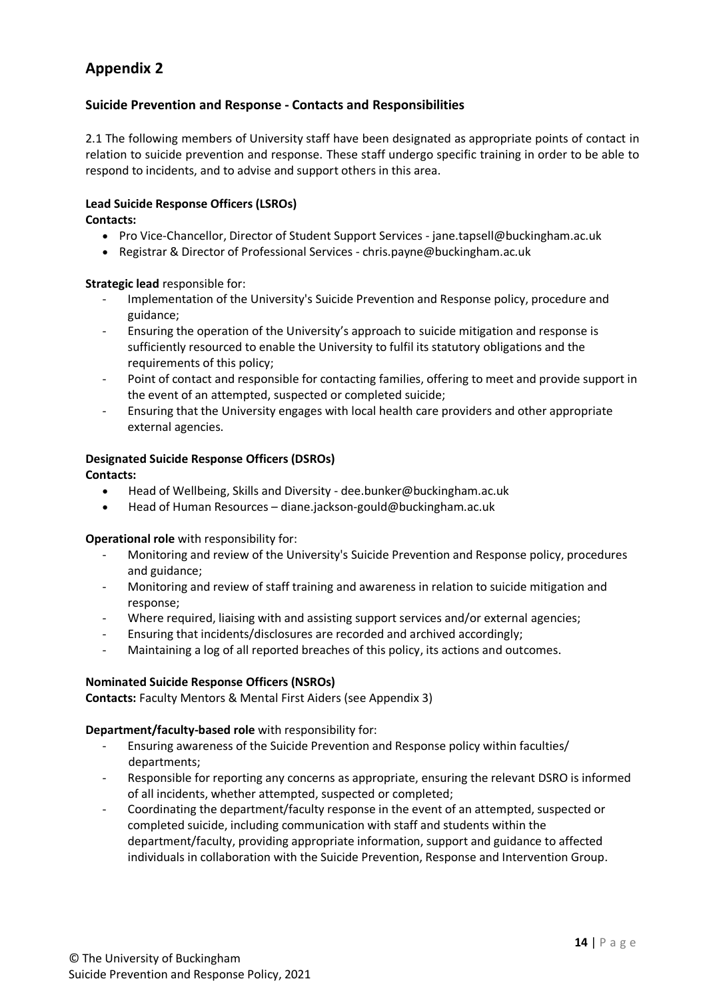## **Suicide Prevention and Response - Contacts and Responsibilities**

2.1 The following members of University staff have been designated as appropriate points of contact in relation to suicide prevention and response. These staff undergo specific training in order to be able to respond to incidents, and to advise and support others in this area.

#### **Lead Suicide Response Officers (LSROs)**

**Contacts:**

- Pro Vice-Chancellor, Director of Student Support Services jane.tapsell@buckingham.ac.uk
- Registrar & Director of Professional Services chris.payne@buckingham.ac.uk

### **Strategic lead** responsible for:

- Implementation of the University's Suicide Prevention and Response policy, procedure and guidance;
- Ensuring the operation of the University's approach to suicide mitigation and response is sufficiently resourced to enable the University to fulfil its statutory obligations and the requirements of this policy;
- Point of contact and responsible for contacting families, offering to meet and provide support in the event of an attempted, suspected or completed suicide;
- Ensuring that the University engages with local health care providers and other appropriate external agencies.

### **Designated Suicide Response Officers (DSROs)**

### **Contacts:**

- Head of Wellbeing, Skills and Diversity dee.bunker@buckingham.ac.uk
- Head of Human Resources diane.jackson-gould@buckingham.ac.uk

#### **Operational role** with responsibility for:

- Monitoring and review of the University's Suicide Prevention and Response policy, procedures and guidance;
- Monitoring and review of staff training and awareness in relation to suicide mitigation and response;
- Where required, liaising with and assisting support services and/or external agencies;
- Ensuring that incidents/disclosures are recorded and archived accordingly;
- Maintaining a log of all reported breaches of this policy, its actions and outcomes.

#### **Nominated Suicide Response Officers (NSROs)**

**Contacts:** Faculty Mentors & Mental First Aiders (see Appendix 3)

#### **Department/faculty-based role** with responsibility for:

- Ensuring awareness of the Suicide Prevention and Response policy within faculties/ departments;
- Responsible for reporting any concerns as appropriate, ensuring the relevant DSRO is informed of all incidents, whether attempted, suspected or completed;
- Coordinating the department/faculty response in the event of an attempted, suspected or completed suicide, including communication with staff and students within the department/faculty, providing appropriate information, support and guidance to affected individuals in collaboration with the Suicide Prevention, Response and Intervention Group.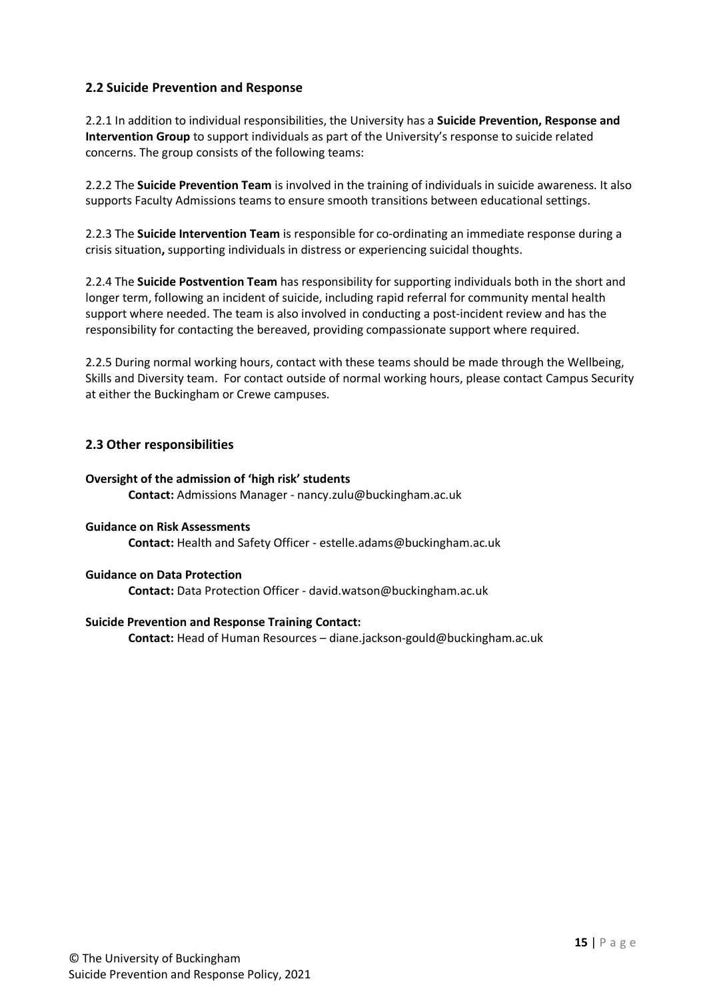## **2.2 Suicide Prevention and Response**

2.2.1 In addition to individual responsibilities, the University has a **Suicide Prevention, Response and Intervention Group** to support individuals as part of the University's response to suicide related concerns. The group consists of the following teams:

2.2.2 The **Suicide Prevention Team** is involved in the training of individuals in suicide awareness. It also supports Faculty Admissions teams to ensure smooth transitions between educational settings.

2.2.3 The **Suicide Intervention Team** is responsible for co-ordinating an immediate response during a crisis situation**,** supporting individuals in distress or experiencing suicidal thoughts.

2.2.4 The **Suicide Postvention Team** has responsibility for supporting individuals both in the short and longer term, following an incident of suicide, including rapid referral for community mental health support where needed. The team is also involved in conducting a post-incident review and has the responsibility for contacting the bereaved, providing compassionate support where required.

2.2.5 During normal working hours, contact with these teams should be made through the Wellbeing, Skills and Diversity team. For contact outside of normal working hours, please contact Campus Security at either the Buckingham or Crewe campuses.

## **2.3 Other responsibilities**

#### **Oversight of the admission of 'high risk' students**

**Contact:** Admissions Manager - nancy.zulu@buckingham.ac.uk

#### **Guidance on Risk Assessments Contact:** Health and Safety Officer - estelle.adams@buckingham.ac.uk

#### **Guidance on Data Protection**

**Contact:** Data Protection Officer - david.watson@buckingham.ac.uk

#### **Suicide Prevention and Response Training Contact:**

**Contact:** Head of Human Resources – diane.jackson-gould@buckingham.ac.uk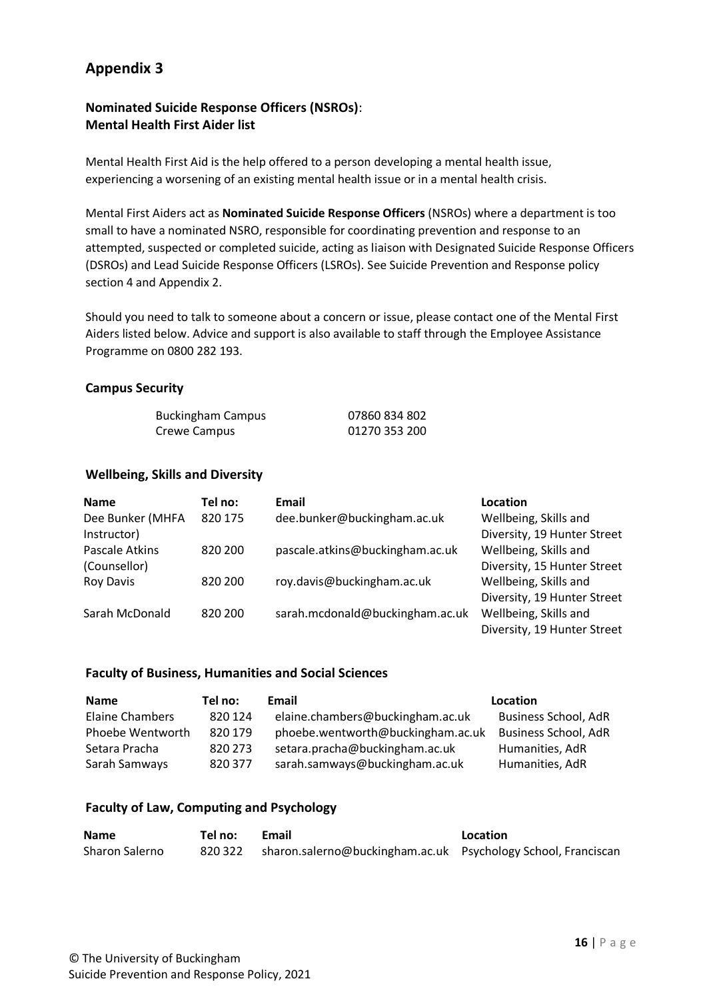# **Nominated Suicide Response Officers (NSROs)**: **Mental Health First Aider list**

Mental Health First Aid is the help offered to a person developing a mental health issue, experiencing a worsening of an existing mental health issue or in a mental health crisis.

Mental First Aiders act as **Nominated Suicide Response Officers** (NSROs) where a department is too small to have a nominated NSRO, responsible for coordinating prevention and response to an attempted, suspected or completed suicide, acting as liaison with Designated Suicide Response Officers (DSROs) and Lead Suicide Response Officers (LSROs). See Suicide Prevention and Response policy section 4 and Appendix 2.

Should you need to talk to someone about a concern or issue, please contact one of the Mental First Aiders listed below. Advice and support is also available to staff through the Employee Assistance Programme on 0800 282 193.

### **Campus Security**

| <b>Buckingham Campus</b> | 07860 834 802 |
|--------------------------|---------------|
| Crewe Campus             | 01270 353 200 |

### **Wellbeing, Skills and Diversity**

| <b>Name</b>      | Tel no: | Email                           | Location                    |
|------------------|---------|---------------------------------|-----------------------------|
| Dee Bunker (MHFA | 820 175 | dee.bunker@buckingham.ac.uk     | Wellbeing, Skills and       |
| Instructor)      |         |                                 | Diversity, 19 Hunter Street |
| Pascale Atkins   | 820 200 | pascale.atkins@buckingham.ac.uk | Wellbeing, Skills and       |
| (Counsellor)     |         |                                 | Diversity, 15 Hunter Street |
| Roy Davis        | 820 200 | roy.davis@buckingham.ac.uk      | Wellbeing, Skills and       |
|                  |         |                                 | Diversity, 19 Hunter Street |
| Sarah McDonald   | 820 200 | sarah.mcdonald@buckingham.ac.uk | Wellbeing, Skills and       |
|                  |         |                                 | Diversity, 19 Hunter Street |

#### **Faculty of Business, Humanities and Social Sciences**

| <b>Name</b>      | Tel no: | Email                             | Location                    |
|------------------|---------|-----------------------------------|-----------------------------|
| Elaine Chambers  | 820 124 | elaine.chambers@buckingham.ac.uk  | <b>Business School, AdR</b> |
| Phoebe Wentworth | 820 179 | phoebe.wentworth@buckingham.ac.uk | <b>Business School, AdR</b> |
| Setara Pracha    | 820 273 | setara.pracha@buckingham.ac.uk    | Humanities, AdR             |
| Sarah Samways    | 820 377 | sarah.samways@buckingham.ac.uk    | Humanities, AdR             |

#### **Faculty of Law, Computing and Psychology**

| <b>Name</b>    | Tel no: | Email                                                                 | Location |
|----------------|---------|-----------------------------------------------------------------------|----------|
| Sharon Salerno |         | 820 322 sharon.salerno@buckingham.ac.uk Psychology School, Franciscan |          |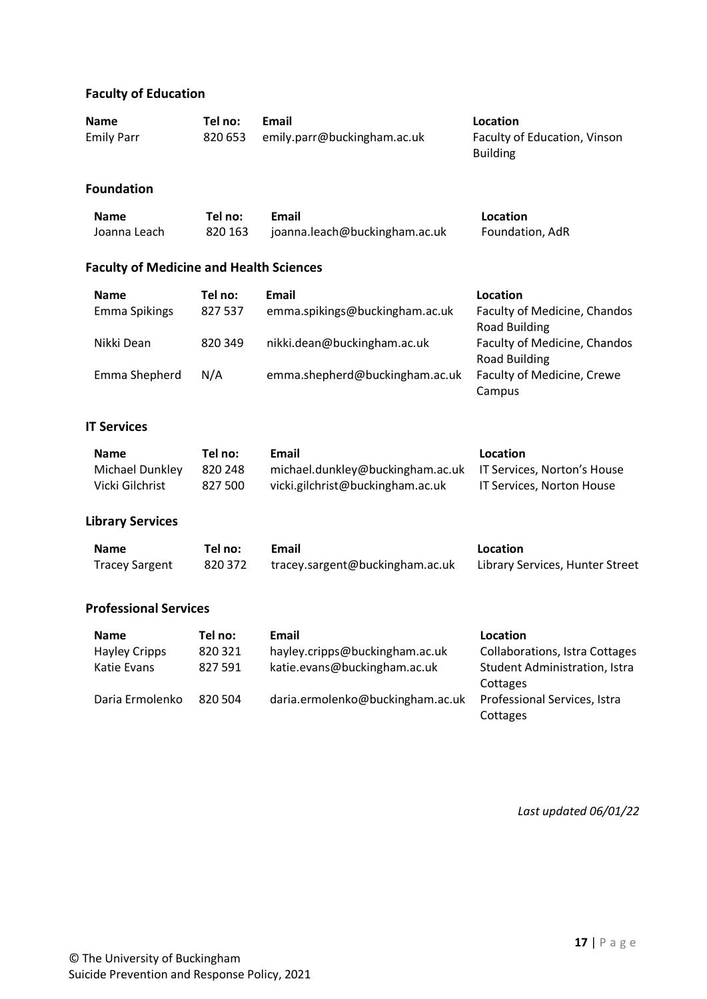# **Faculty of Education**

| <b>Name</b>       | Tel no: | Email                       | Location                                        |
|-------------------|---------|-----------------------------|-------------------------------------------------|
| <b>Emily Parr</b> | 820 653 | emily.parr@buckingham.ac.uk | Faculty of Education, Vinson<br><b>Building</b> |

### **Foundation**

| <b>Name</b>  | Tel no: | Email                         | Location        |
|--------------|---------|-------------------------------|-----------------|
| Joanna Leach | 820 163 | joanna.leach@buckingham.ac.uk | Foundation, AdR |

# **Faculty of Medicine and Health Sciences**

| <b>Name</b>   | Tel no: | Email                          | Location                          |
|---------------|---------|--------------------------------|-----------------------------------|
| Emma Spikings | 827 537 | emma.spikings@buckingham.ac.uk | Faculty of Medicine, Chandos      |
|               |         |                                | <b>Road Building</b>              |
| Nikki Dean    | 820 349 | nikki.dean@buckingham.ac.uk    | Faculty of Medicine, Chandos      |
|               |         |                                | <b>Road Building</b>              |
| Emma Shepherd | N/A     | emma.shepherd@buckingham.ac.uk | <b>Faculty of Medicine, Crewe</b> |
|               |         |                                | Campus                            |

# **IT Services**

| <b>Name</b>     | Tel no: | Email                                                        | Location                  |
|-----------------|---------|--------------------------------------------------------------|---------------------------|
| Michael Dunkley | 820 248 | michael.dunkley@buckingham.ac.uk IT Services, Norton's House |                           |
| Vicki Gilchrist | 827 500 | vicki.gilchrist@buckingham.ac.uk                             | IT Services, Norton House |

### **Library Services**

| <b>Name</b>           | Tel no: l | Email                           | Location                        |
|-----------------------|-----------|---------------------------------|---------------------------------|
| <b>Tracey Sargent</b> | 820 372   | tracey.sargent@buckingham.ac.uk | Library Services, Hunter Street |

## **Professional Services**

| <b>Name</b>          | Tel no: | Email                            | Location                              |
|----------------------|---------|----------------------------------|---------------------------------------|
| <b>Hayley Cripps</b> | 820 321 | hayley.cripps@buckingham.ac.uk   | <b>Collaborations, Istra Cottages</b> |
| Katie Evans          | 827 591 | katie.evans@buckingham.ac.uk     | Student Administration, Istra         |
|                      |         |                                  | Cottages                              |
| Daria Ermolenko      | 820.504 | daria.ermolenko@buckingham.ac.uk | Professional Services, Istra          |
|                      |         |                                  | Cottages                              |

*Last updated 06/01/22*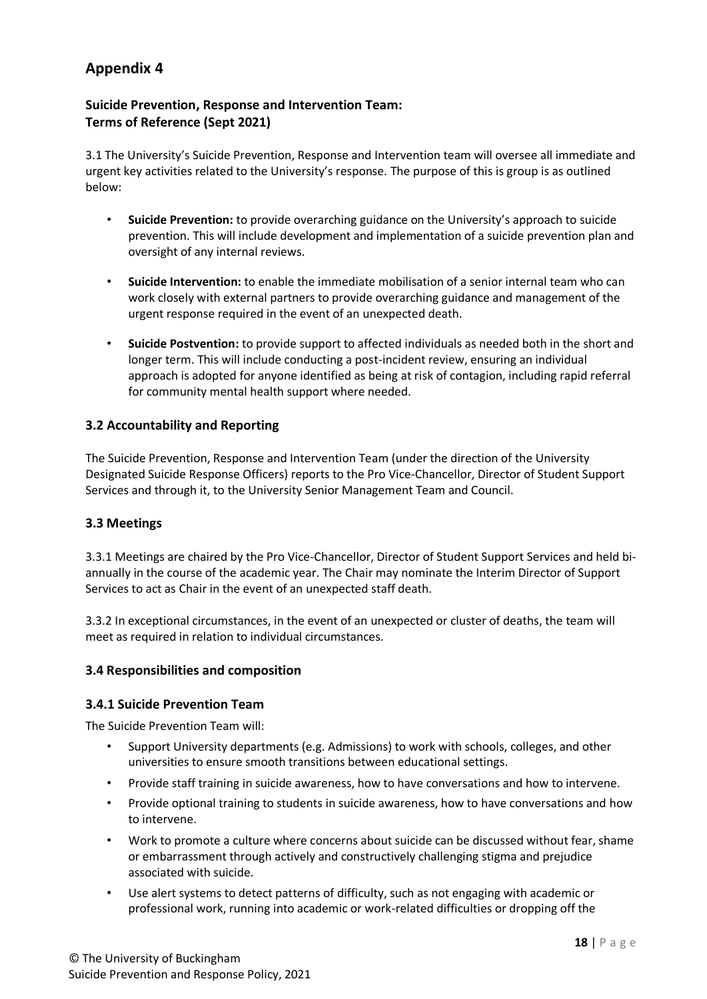## **Suicide Prevention, Response and Intervention Team: Terms of Reference (Sept 2021)**

3.1 The University's Suicide Prevention, Response and Intervention team will oversee all immediate and urgent key activities related to the University's response. The purpose of this is group is as outlined below:

- **Suicide Prevention:** to provide overarching guidance on the University's approach to suicide prevention. This will include development and implementation of a suicide prevention plan and oversight of any internal reviews.
- **Suicide Intervention:** to enable the immediate mobilisation of a senior internal team who can work closely with external partners to provide overarching guidance and management of the urgent response required in the event of an unexpected death.
- **Suicide Postvention:** to provide support to affected individuals as needed both in the short and longer term. This will include conducting a post-incident review, ensuring an individual approach is adopted for anyone identified as being at risk of contagion, including rapid referral for community mental health support where needed.

## **3.2 Accountability and Reporting**

The Suicide Prevention, Response and Intervention Team (under the direction of the University Designated Suicide Response Officers) reports to the Pro Vice-Chancellor, Director of Student Support Services and through it, to the University Senior Management Team and Council.

### **3.3 Meetings**

3.3.1 Meetings are chaired by the Pro Vice-Chancellor, Director of Student Support Services and held biannually in the course of the academic year. The Chair may nominate the Interim Director of Support Services to act as Chair in the event of an unexpected staff death.

3.3.2 In exceptional circumstances, in the event of an unexpected or cluster of deaths, the team will meet as required in relation to individual circumstances.

### **3.4 Responsibilities and composition**

### **3.4.1 Suicide Prevention Team**

The Suicide Prevention Team will:

- Support University departments (e.g. Admissions) to work with schools, colleges, and other universities to ensure smooth transitions between educational settings.
- Provide staff training in suicide awareness, how to have conversations and how to intervene.
- Provide optional training to students in suicide awareness, how to have conversations and how to intervene.
- Work to promote a culture where concerns about suicide can be discussed without fear, shame or embarrassment through actively and constructively challenging stigma and prejudice associated with suicide.
- Use alert systems to detect patterns of difficulty, such as not engaging with academic or professional work, running into academic or work-related difficulties or dropping off the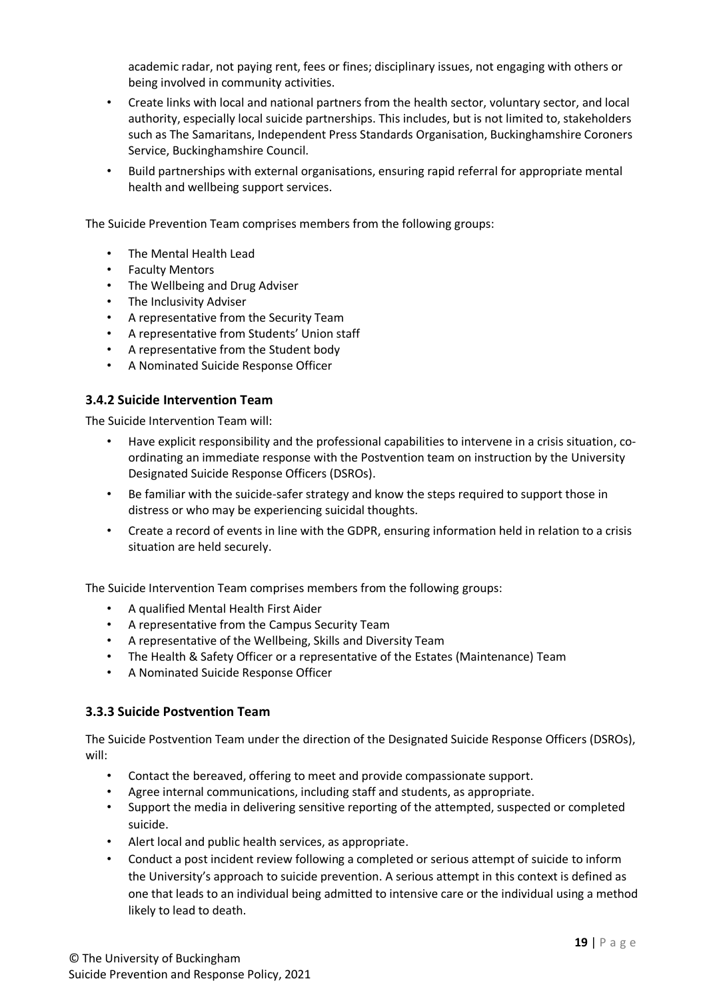academic radar, not paying rent, fees or fines; disciplinary issues, not engaging with others or being involved in community activities.

- Create links with local and national partners from the health sector, voluntary sector, and local authority, especially local suicide partnerships. This includes, but is not limited to, stakeholders such as The Samaritans, Independent Press Standards Organisation, Buckinghamshire Coroners Service, Buckinghamshire Council.
- Build partnerships with external organisations, ensuring rapid referral for appropriate mental health and wellbeing support services.

The Suicide Prevention Team comprises members from the following groups:

- The Mental Health Lead
- Faculty Mentors
- The Wellbeing and Drug Adviser
- The Inclusivity Adviser
- A representative from the Security Team
- A representative from Students' Union staff
- A representative from the Student body
- A Nominated Suicide Response Officer

#### **3.4.2 Suicide Intervention Team**

The Suicide Intervention Team will:

- Have explicit responsibility and the professional capabilities to intervene in a crisis situation, coordinating an immediate response with the Postvention team on instruction by the University Designated Suicide Response Officers (DSROs).
- Be familiar with the suicide-safer strategy and know the steps required to support those in distress or who may be experiencing suicidal thoughts.
- Create a record of events in line with the GDPR, ensuring information held in relation to a crisis situation are held securely.

The Suicide Intervention Team comprises members from the following groups:

- A qualified Mental Health First Aider
- A representative from the Campus Security Team
- A representative of the Wellbeing, Skills and Diversity Team
- The Health & Safety Officer or a representative of the Estates (Maintenance) Team
- A Nominated Suicide Response Officer

### **3.3.3 Suicide Postvention Team**

The Suicide Postvention Team under the direction of the Designated Suicide Response Officers (DSROs), will:

- Contact the bereaved, offering to meet and provide compassionate support.
- Agree internal communications, including staff and students, as appropriate.
- Support the media in delivering sensitive reporting of the attempted, suspected or completed suicide.
- Alert local and public health services, as appropriate.
- Conduct a post incident review following a completed or serious attempt of suicide to inform the University's approach to suicide prevention. A serious attempt in this context is defined as one that leads to an individual being admitted to intensive care or the individual using a method likely to lead to death.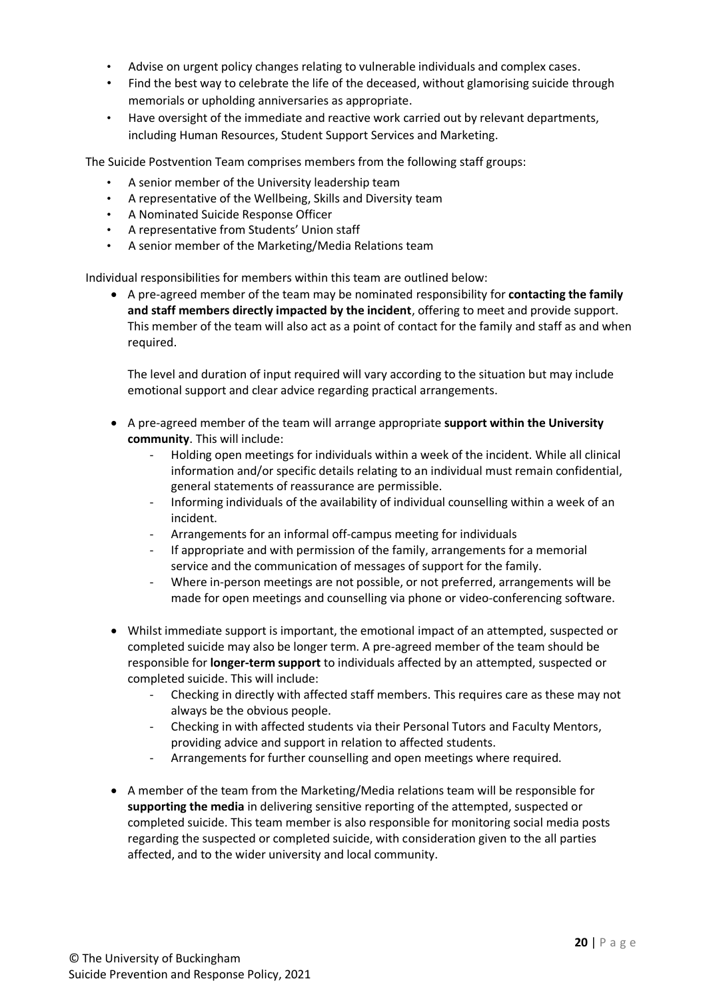- Advise on urgent policy changes relating to vulnerable individuals and complex cases.
- Find the best way to celebrate the life of the deceased, without glamorising suicide through memorials or upholding anniversaries as appropriate.
- Have oversight of the immediate and reactive work carried out by relevant departments, including Human Resources, Student Support Services and Marketing.

The Suicide Postvention Team comprises members from the following staff groups:

- A senior member of the University leadership team
- A representative of the Wellbeing, Skills and Diversity team
- A Nominated Suicide Response Officer
- A representative from Students' Union staff
- A senior member of the Marketing/Media Relations team

Individual responsibilities for members within this team are outlined below:

 A pre-agreed member of the team may be nominated responsibility for **contacting the family and staff members directly impacted by the incident**, offering to meet and provide support. This member of the team will also act as a point of contact for the family and staff as and when required.

The level and duration of input required will vary according to the situation but may include emotional support and clear advice regarding practical arrangements.

- A pre-agreed member of the team will arrange appropriate **support within the University community**. This will include:
	- Holding open meetings for individuals within a week of the incident. While all clinical information and/or specific details relating to an individual must remain confidential, general statements of reassurance are permissible.
	- Informing individuals of the availability of individual counselling within a week of an incident.
	- Arrangements for an informal off-campus meeting for individuals
	- If appropriate and with permission of the family, arrangements for a memorial service and the communication of messages of support for the family.
	- Where in-person meetings are not possible, or not preferred, arrangements will be made for open meetings and counselling via phone or video-conferencing software.
- Whilst immediate support is important, the emotional impact of an attempted, suspected or completed suicide may also be longer term. A pre-agreed member of the team should be responsible for **longer-term support** to individuals affected by an attempted, suspected or completed suicide. This will include:
	- Checking in directly with affected staff members. This requires care as these may not always be the obvious people.
	- Checking in with affected students via their Personal Tutors and Faculty Mentors, providing advice and support in relation to affected students.
	- Arrangements for further counselling and open meetings where required.
- A member of the team from the Marketing/Media relations team will be responsible for **supporting the media** in delivering sensitive reporting of the attempted, suspected or completed suicide. This team member is also responsible for monitoring social media posts regarding the suspected or completed suicide, with consideration given to the all parties affected, and to the wider university and local community.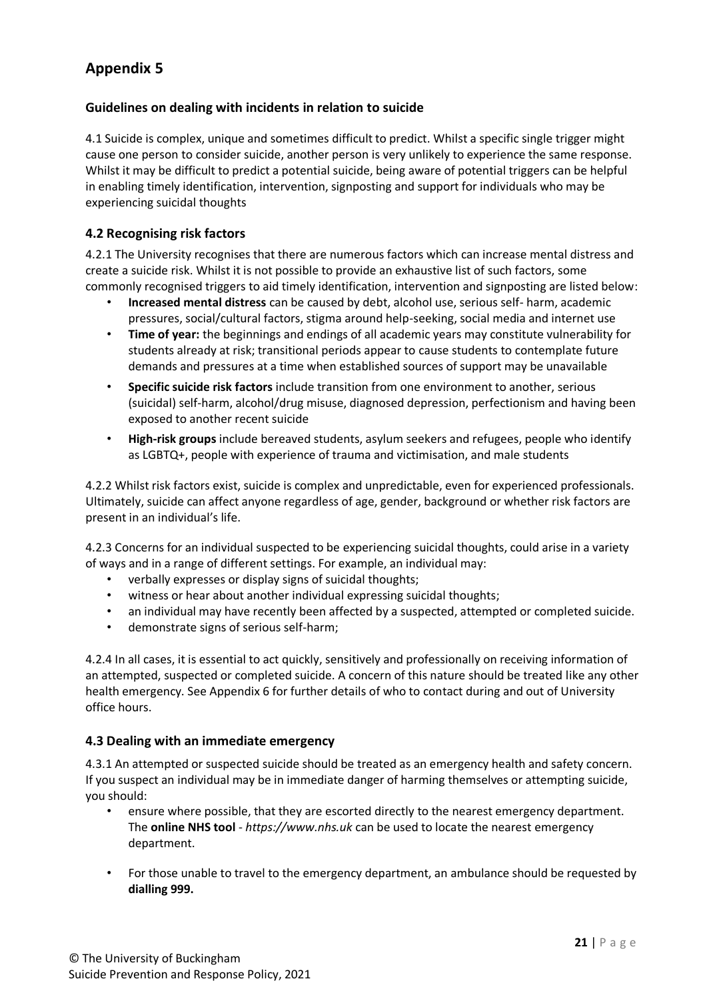### **Guidelines on dealing with incidents in relation to suicide**

4.1 Suicide is complex, unique and sometimes difficult to predict. Whilst a specific single trigger might cause one person to consider suicide, another person is very unlikely to experience the same response. Whilst it may be difficult to predict a potential suicide, being aware of potential triggers can be helpful in enabling timely identification, intervention, signposting and support for individuals who may be experiencing suicidal thoughts

### **4.2 Recognising risk factors**

4.2.1 The University recognises that there are numerous factors which can increase mental distress and create a suicide risk. Whilst it is not possible to provide an exhaustive list of such factors, some commonly recognised triggers to aid timely identification, intervention and signposting are listed below:

- **Increased mental distress** can be caused by debt, alcohol use, serious self- harm, academic pressures, social/cultural factors, stigma around help-seeking, social media and internet use
- **Time of year:** the beginnings and endings of all academic years may constitute vulnerability for students already at risk; transitional periods appear to cause students to contemplate future demands and pressures at a time when established sources of support may be unavailable
- **Specific suicide risk factors** include transition from one environment to another, serious (suicidal) self-harm, alcohol/drug misuse, diagnosed depression, perfectionism and having been exposed to another recent suicide
- **High-risk groups** include bereaved students, asylum seekers and refugees, people who identify as LGBTQ+, people with experience of trauma and victimisation, and male students

4.2.2 Whilst risk factors exist, suicide is complex and unpredictable, even for experienced professionals. Ultimately, suicide can affect anyone regardless of age, gender, background or whether risk factors are present in an individual's life.

4.2.3 Concerns for an individual suspected to be experiencing suicidal thoughts, could arise in a variety of ways and in a range of different settings. For example, an individual may:

- verbally expresses or display signs of suicidal thoughts;
- witness or hear about another individual expressing suicidal thoughts;
- an individual may have recently been affected by a suspected, attempted or completed suicide.
- demonstrate signs of serious self-harm;

4.2.4 In all cases, it is essential to act quickly, sensitively and professionally on receiving information of an attempted, suspected or completed suicide. A concern of this nature should be treated like any other health emergency. See Appendix 6 for further details of who to contact during and out of University office hours.

### **4.3 Dealing with an immediate emergency**

4.3.1 An attempted or suspected suicide should be treated as an emergency health and safety concern. If you suspect an individual may be in immediate danger of harming themselves or attempting suicide, you should:

- ensure where possible, that they are escorted directly to the nearest emergency department. The **online NHS tool** - *https://www.nhs.uk* can be used to locate the nearest emergency department.
- For those unable to travel to the emergency department, an ambulance should be requested by **dialling 999.**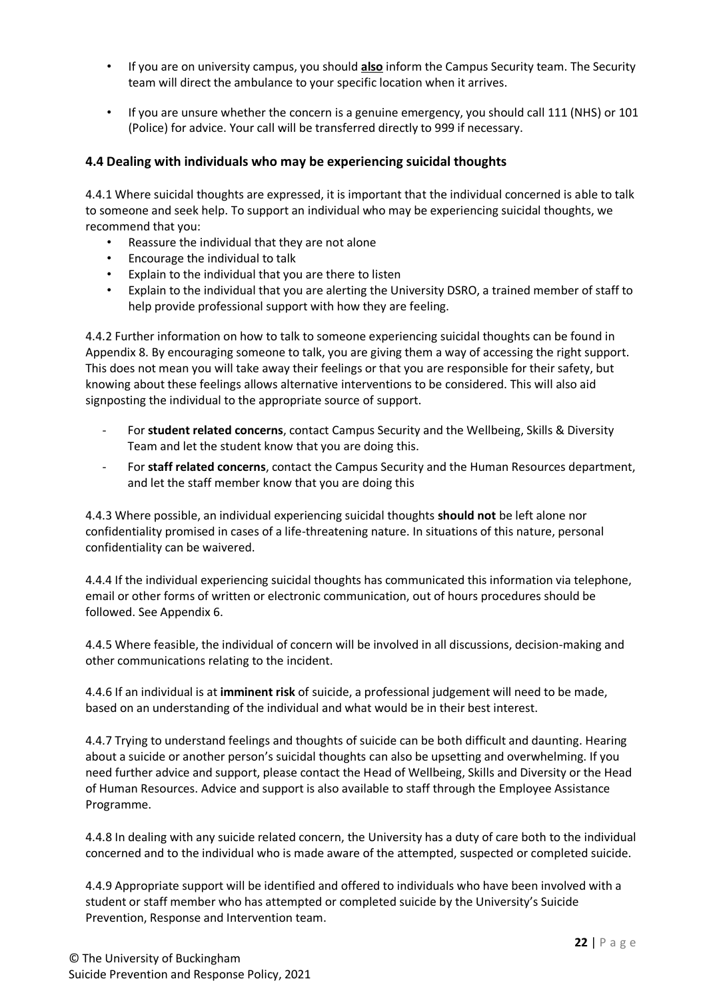- If you are on university campus, you should **also** inform the Campus Security team. The Security team will direct the ambulance to your specific location when it arrives.
- If you are unsure whether the concern is a genuine emergency, you should call 111 (NHS) or 101 (Police) for advice. Your call will be transferred directly to 999 if necessary.

## **4.4 Dealing with individuals who may be experiencing suicidal thoughts**

4.4.1 Where suicidal thoughts are expressed, it is important that the individual concerned is able to talk to someone and seek help. To support an individual who may be experiencing suicidal thoughts, we recommend that you:

- Reassure the individual that they are not alone
- Encourage the individual to talk
- Explain to the individual that you are there to listen
- Explain to the individual that you are alerting the University DSRO, a trained member of staff to help provide professional support with how they are feeling.

4.4.2 Further information on how to talk to someone experiencing suicidal thoughts can be found in Appendix 8. By encouraging someone to talk, you are giving them a way of accessing the right support. This does not mean you will take away their feelings or that you are responsible for their safety, but knowing about these feelings allows alternative interventions to be considered. This will also aid signposting the individual to the appropriate source of support.

- For **student related concerns**, contact Campus Security and the Wellbeing, Skills & Diversity Team and let the student know that you are doing this.
- For **staff related concerns**, contact the Campus Security and the Human Resources department, and let the staff member know that you are doing this

4.4.3 Where possible, an individual experiencing suicidal thoughts **should not** be left alone nor confidentiality promised in cases of a life-threatening nature. In situations of this nature, personal confidentiality can be waivered.

4.4.4 If the individual experiencing suicidal thoughts has communicated this information via telephone, email or other forms of written or electronic communication, out of hours procedures should be followed. See Appendix 6.

4.4.5 Where feasible, the individual of concern will be involved in all discussions, decision-making and other communications relating to the incident.

4.4.6 If an individual is at **imminent risk** of suicide, a professional judgement will need to be made, based on an understanding of the individual and what would be in their best interest.

4.4.7 Trying to understand feelings and thoughts of suicide can be both difficult and daunting. Hearing about a suicide or another person's suicidal thoughts can also be upsetting and overwhelming. If you need further advice and support, please contact the Head of Wellbeing, Skills and Diversity or the Head of Human Resources. Advice and support is also available to staff through the Employee Assistance Programme.

4.4.8 In dealing with any suicide related concern, the University has a duty of care both to the individual concerned and to the individual who is made aware of the attempted, suspected or completed suicide.

4.4.9 Appropriate support will be identified and offered to individuals who have been involved with a student or staff member who has attempted or completed suicide by the University's Suicide Prevention, Response and Intervention team.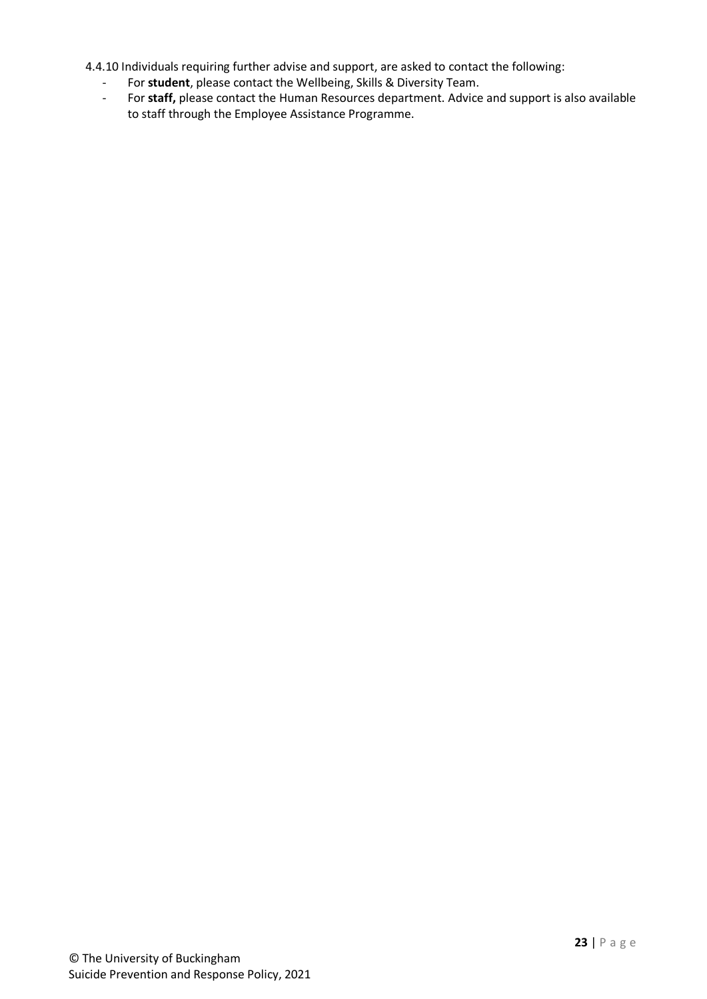4.4.10 Individuals requiring further advise and support, are asked to contact the following:

- For **student**, please contact the Wellbeing, Skills & Diversity Team.
- For **staff,** please contact the Human Resources department. Advice and support is also available to staff through the Employee Assistance Programme.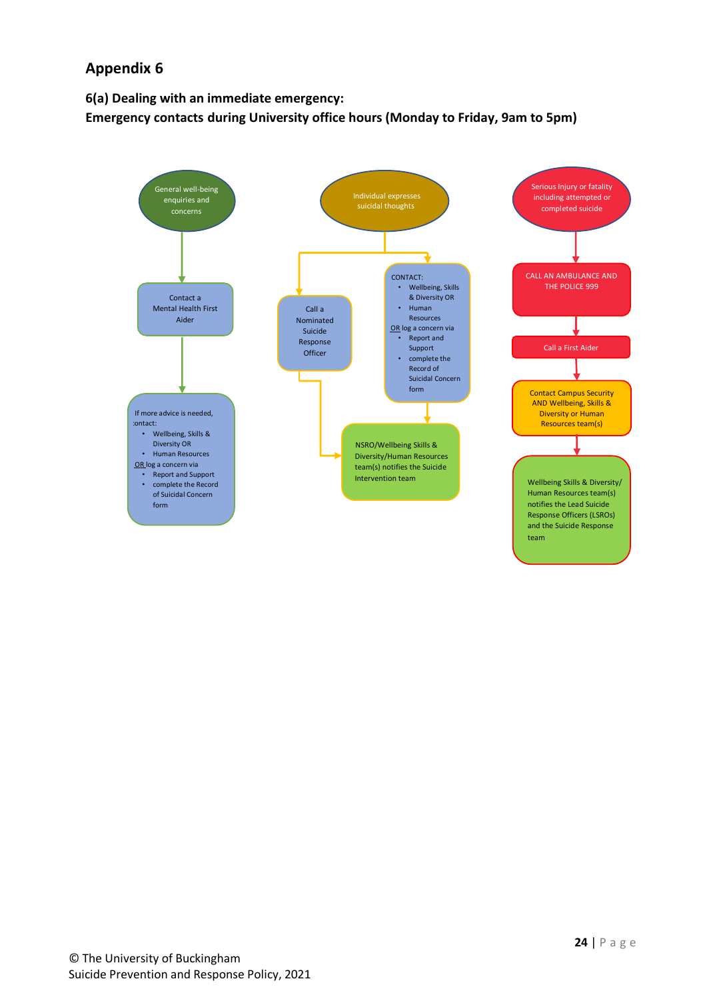**6(a) Dealing with an immediate emergency: Emergency contacts during University office hours (Monday to Friday, 9am to 5pm)**

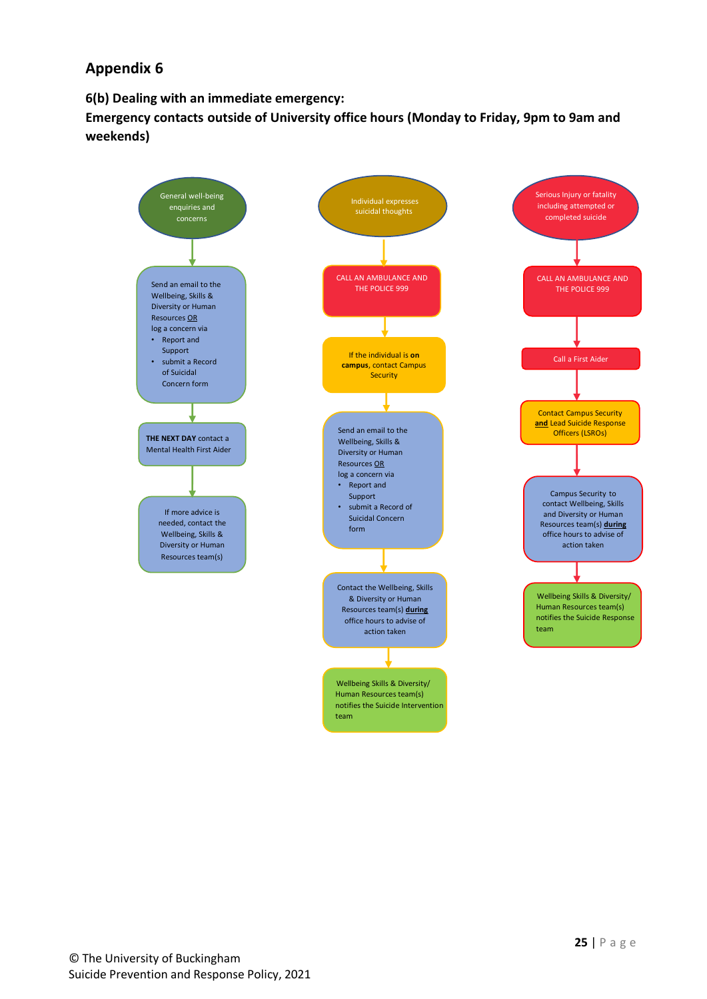**6(b) Dealing with an immediate emergency:** 

**Emergency contacts outside of University office hours (Monday to Friday, 9pm to 9am and weekends)**

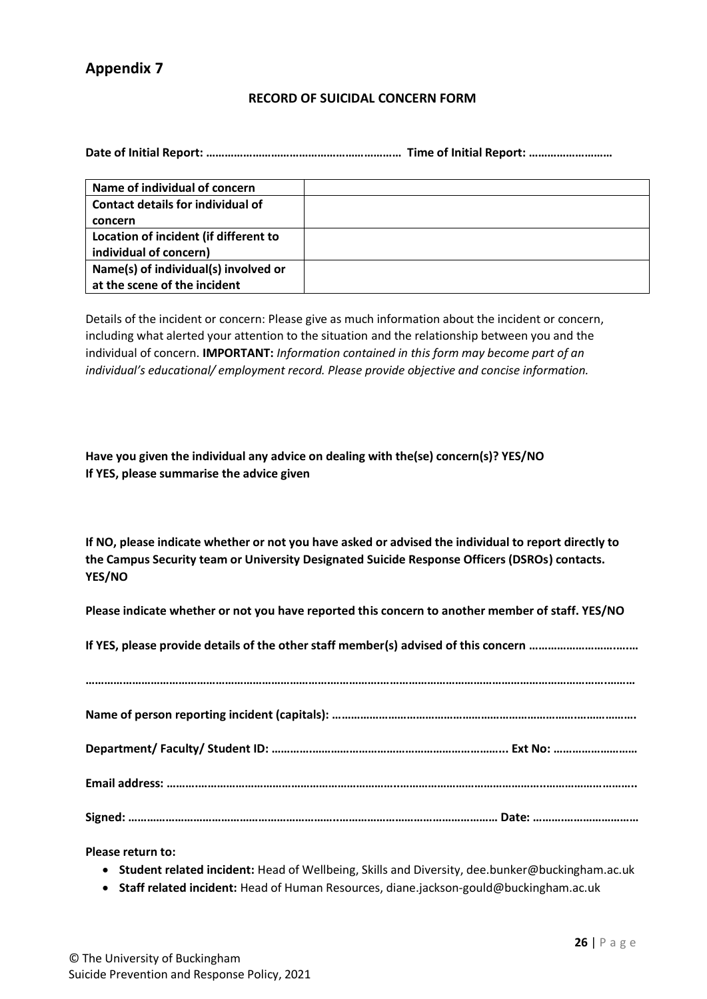### **RECORD OF SUICIDAL CONCERN FORM**

**Date of Initial Report: ……………………………………………………… Time of Initial Report: ………………………**

| Name of individual of concern         |  |
|---------------------------------------|--|
| Contact details for individual of     |  |
| concern                               |  |
| Location of incident (if different to |  |
| individual of concern)                |  |
| Name(s) of individual(s) involved or  |  |
| at the scene of the incident          |  |

Details of the incident or concern: Please give as much information about the incident or concern, including what alerted your attention to the situation and the relationship between you and the individual of concern. **IMPORTANT:** *Information contained in this form may become part of an individual's educational/ employment record. Please provide objective and concise information.*

**Have you given the individual any advice on dealing with the(se) concern(s)? YES/NO If YES, please summarise the advice given**

**If NO, please indicate whether or not you have asked or advised the individual to report directly to the Campus Security team or University Designated Suicide Response Officers (DSROs) contacts. YES/NO**

**Please indicate whether or not you have reported this concern to another member of staff. YES/NO**

**If YES, please provide details of the other staff member(s) advised of this concern ……………………….….…**

**Please return to:**

- **Student related incident:** Head of Wellbeing, Skills and Diversity, dee.bunker@buckingham.ac.uk
- **Staff related incident:** Head of Human Resources, diane.jackson-gould@buckingham.ac.uk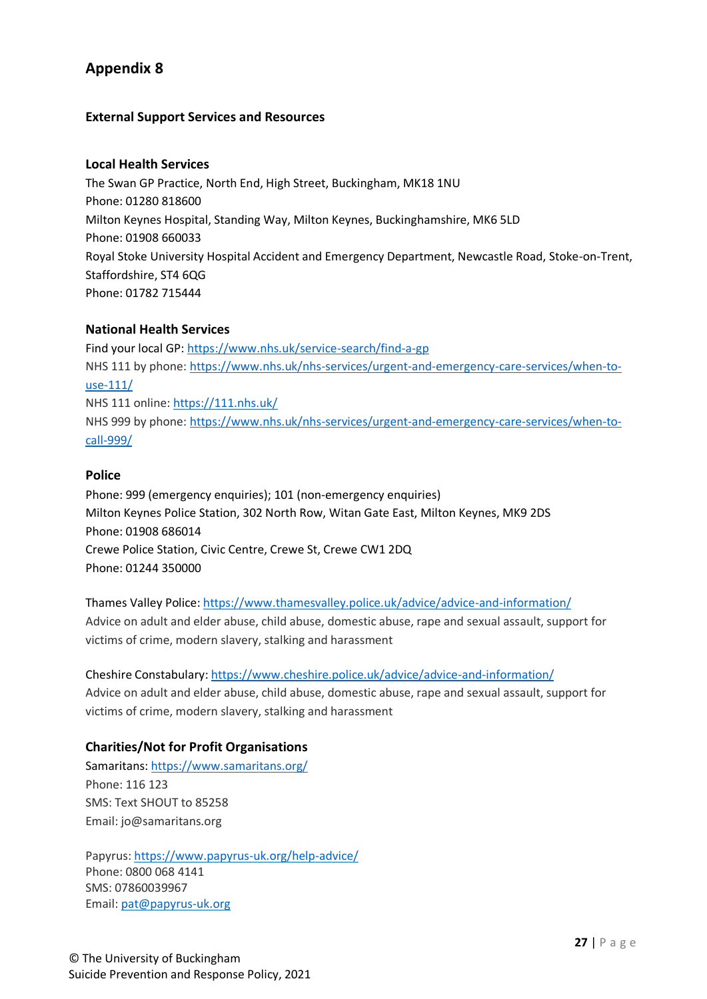## **External Support Services and Resources**

### **Local Health Services**

The Swan GP Practice, North End, High Street, Buckingham, MK18 1NU Phone: 01280 818600 Milton Keynes Hospital, Standing Way, Milton Keynes, Buckinghamshire, MK6 5LD Phone: 01908 660033 Royal Stoke University Hospital Accident and Emergency Department, Newcastle Road, Stoke-on-Trent, Staffordshire, ST4 6QG Phone: 01782 715444

### **National Health Services**

Find your local GP:<https://www.nhs.uk/service-search/find-a-gp> NHS 111 by phone: [https://www.nhs.uk/nhs-services/urgent-and-emergency-care-services/when-to](https://www.nhs.uk/nhs-services/urgent-and-emergency-care-services/when-to-use-111/)[use-111/](https://www.nhs.uk/nhs-services/urgent-and-emergency-care-services/when-to-use-111/) NHS 111 online:<https://111.nhs.uk/> NHS 999 by phone: [https://www.nhs.uk/nhs-services/urgent-and-emergency-care-services/when-to](https://www.nhs.uk/nhs-services/urgent-and-emergency-care-services/when-to-call-999/)[call-999/](https://www.nhs.uk/nhs-services/urgent-and-emergency-care-services/when-to-call-999/)

### **Police**

Phone: 999 (emergency enquiries); 101 (non-emergency enquiries) Milton Keynes Police Station, 302 North Row, Witan Gate East, Milton Keynes, MK9 2DS Phone: 01908 686014 Crewe Police Station, Civic Centre, Crewe St, Crewe CW1 2DQ Phone: 01244 350000

Thames Valley Police:<https://www.thamesvalley.police.uk/advice/advice-and-information/> Advice on adult and elder abuse, child abuse, domestic abuse, rape and sexual assault, support for victims of crime, modern slavery, stalking and harassment

Cheshire Constabulary:<https://www.cheshire.police.uk/advice/advice-and-information/> Advice on adult and elder abuse, child abuse, domestic abuse, rape and sexual assault, support for victims of crime, modern slavery, stalking and harassment

### **Charities/Not for Profit Organisations**

Samaritans:<https://www.samaritans.org/> Phone: 116 123 SMS: Text SHOUT to 85258 Email: jo@samaritans.org

Papyrus:<https://www.papyrus-uk.org/help-advice/> Phone: 0800 068 4141 SMS: 07860039967 Email: [pat@papyrus-uk.org](mailto:pat@papyrus-uk.org)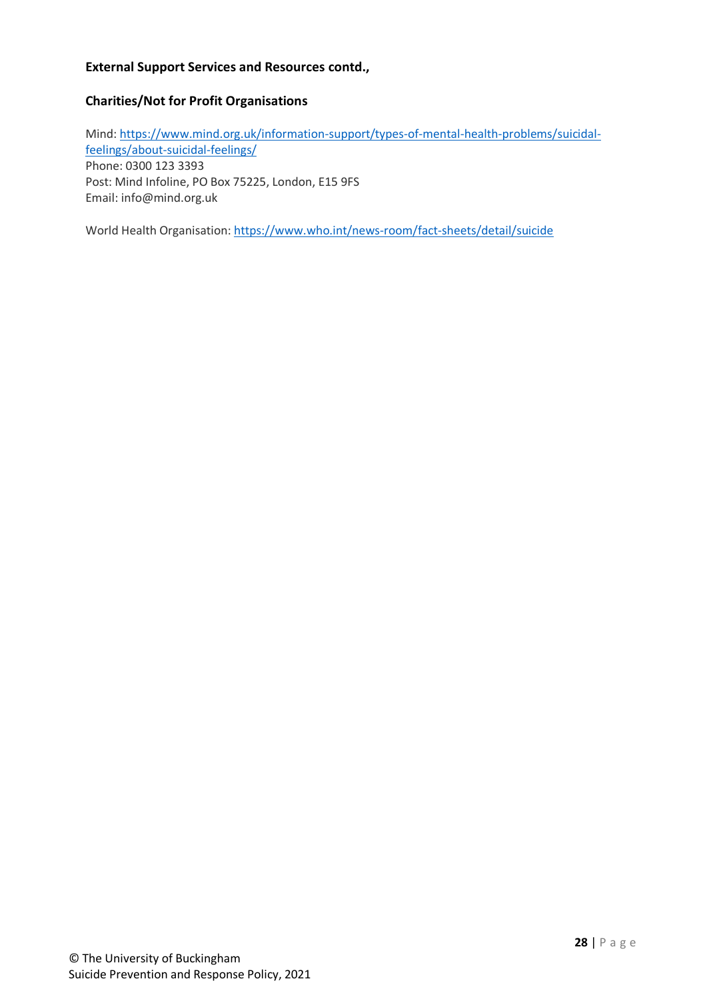## **External Support Services and Resources contd.,**

## **Charities/Not for Profit Organisations**

Mind: [https://www.mind.org.uk/information-support/types-of-mental-health-problems/suicidal](https://www.mind.org.uk/information-support/types-of-mental-health-problems/suicidal-feelings/about-suicidal-feelings/)[feelings/about-suicidal-feelings/](https://www.mind.org.uk/information-support/types-of-mental-health-problems/suicidal-feelings/about-suicidal-feelings/) Phone: 0300 123 3393 Post: Mind Infoline, PO Box 75225, London, E15 9FS Email: info@mind.org.uk

World Health Organisation:<https://www.who.int/news-room/fact-sheets/detail/suicide>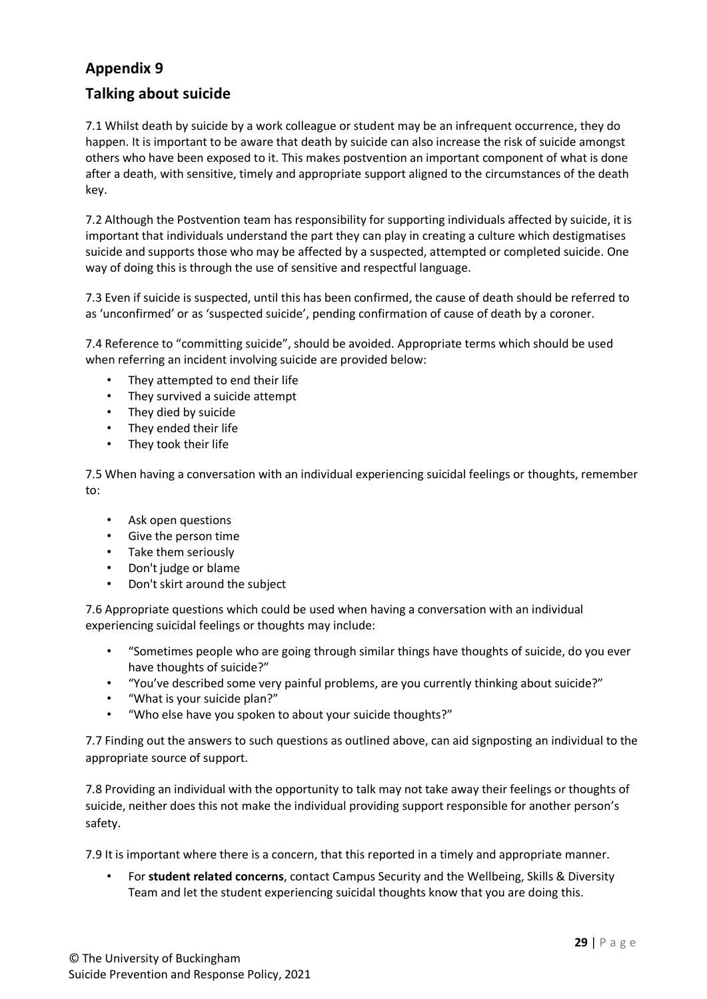# **Talking about suicide**

7.1 Whilst death by suicide by a work colleague or student may be an infrequent occurrence, they do happen. It is important to be aware that death by suicide can also increase the risk of suicide amongst others who have been exposed to it. This makes postvention an important component of what is done after a death, with sensitive, timely and appropriate support aligned to the circumstances of the death key.

7.2 Although the Postvention team has responsibility for supporting individuals affected by suicide, it is important that individuals understand the part they can play in creating a culture which destigmatises suicide and supports those who may be affected by a suspected, attempted or completed suicide. One way of doing this is through the use of sensitive and respectful language.

7.3 Even if suicide is suspected, until this has been confirmed, the cause of death should be referred to as 'unconfirmed' or as 'suspected suicide', pending confirmation of cause of death by a coroner.

7.4 Reference to "committing suicide", should be avoided. Appropriate terms which should be used when referring an incident involving suicide are provided below:

- They attempted to end their life
- They survived a suicide attempt
- They died by suicide
- They ended their life
- They took their life

7.5 When having a conversation with an individual experiencing suicidal feelings or thoughts, remember to:

- Ask open questions
- Give the person time
- Take them seriously
- Don't judge or blame
- Don't skirt around the subject

7.6 Appropriate questions which could be used when having a conversation with an individual experiencing suicidal feelings or thoughts may include:

- "Sometimes people who are going through similar things have thoughts of suicide, do you ever have thoughts of suicide?"
- "You've described some very painful problems, are you currently thinking about suicide?"
- "What is your suicide plan?"
- "Who else have you spoken to about your suicide thoughts?"

7.7 Finding out the answers to such questions as outlined above, can aid signposting an individual to the appropriate source of support.

7.8 Providing an individual with the opportunity to talk may not take away their feelings or thoughts of suicide, neither does this not make the individual providing support responsible for another person's safety.

7.9 It is important where there is a concern, that this reported in a timely and appropriate manner.

• For **student related concerns**, contact Campus Security and the Wellbeing, Skills & Diversity Team and let the student experiencing suicidal thoughts know that you are doing this.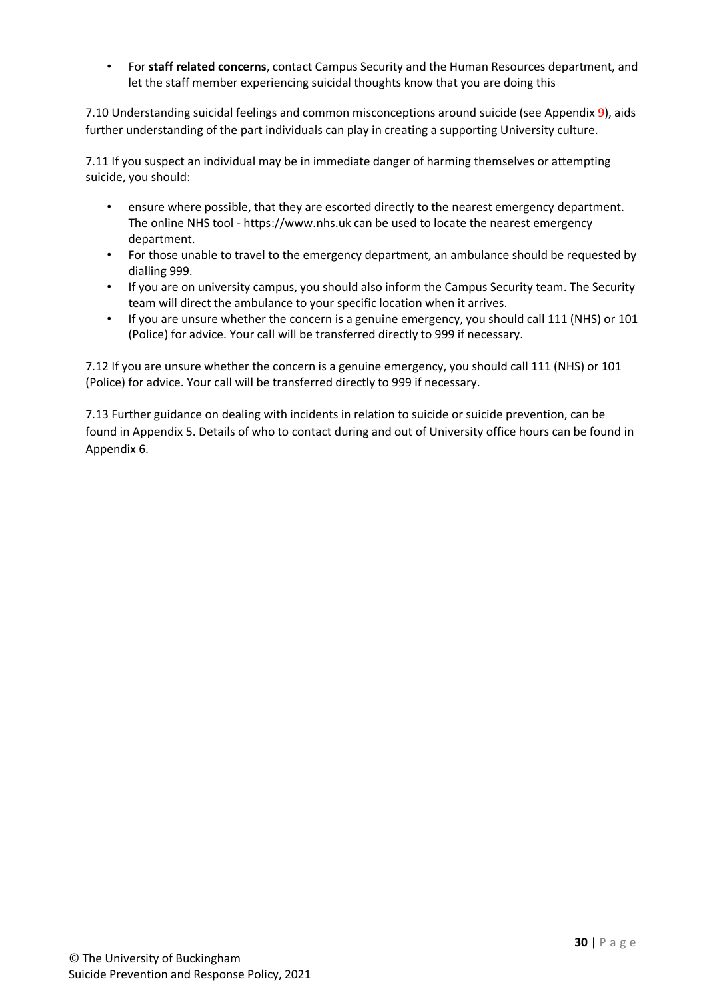• For **staff related concerns**, contact Campus Security and the Human Resources department, and let the staff member experiencing suicidal thoughts know that you are doing this

7.10 Understanding suicidal feelings and common misconceptions around suicide (see Appendix 9), aids further understanding of the part individuals can play in creating a supporting University culture.

7.11 If you suspect an individual may be in immediate danger of harming themselves or attempting suicide, you should:

- ensure where possible, that they are escorted directly to the nearest emergency department. The online NHS tool - https://www.nhs.uk can be used to locate the nearest emergency department.
- For those unable to travel to the emergency department, an ambulance should be requested by dialling 999.
- If you are on university campus, you should also inform the Campus Security team. The Security team will direct the ambulance to your specific location when it arrives.
- If you are unsure whether the concern is a genuine emergency, you should call 111 (NHS) or 101 (Police) for advice. Your call will be transferred directly to 999 if necessary.

7.12 If you are unsure whether the concern is a genuine emergency, you should call 111 (NHS) or 101 (Police) for advice. Your call will be transferred directly to 999 if necessary.

7.13 Further guidance on dealing with incidents in relation to suicide or suicide prevention, can be found in Appendix 5. Details of who to contact during and out of University office hours can be found in Appendix 6.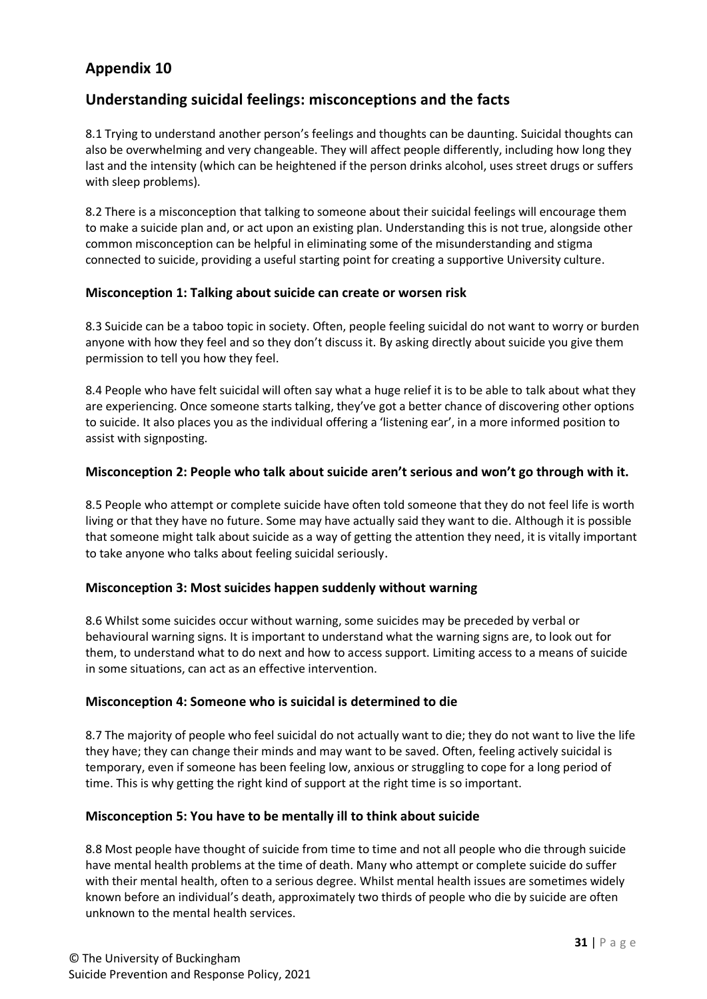# **Understanding suicidal feelings: misconceptions and the facts**

8.1 Trying to understand another person's feelings and thoughts can be daunting. Suicidal thoughts can also be overwhelming and very changeable. They will affect people differently, including how long they last and the intensity (which can be heightened if the person drinks alcohol, uses street drugs or suffers with sleep problems).

8.2 There is a misconception that talking to someone about their suicidal feelings will encourage them to make a suicide plan and, or act upon an existing plan. Understanding this is not true, alongside other common misconception can be helpful in eliminating some of the misunderstanding and stigma connected to suicide, providing a useful starting point for creating a supportive University culture.

### **Misconception 1: Talking about suicide can create or worsen risk**

8.3 Suicide can be a taboo topic in society. Often, people feeling suicidal do not want to worry or burden anyone with how they feel and so they don't discuss it. By asking directly about suicide you give them permission to tell you how they feel.

8.4 People who have felt suicidal will often say what a huge relief it is to be able to talk about what they are experiencing. Once someone starts talking, they've got a better chance of discovering other options to suicide. It also places you as the individual offering a 'listening ear', in a more informed position to assist with signposting.

### **Misconception 2: People who talk about suicide aren't serious and won't go through with it.**

8.5 People who attempt or complete suicide have often told someone that they do not feel life is worth living or that they have no future. Some may have actually said they want to die. Although it is possible that someone might talk about suicide as a way of getting the attention they need, it is vitally important to take anyone who talks about feeling suicidal seriously.

### **Misconception 3: Most suicides happen suddenly without warning**

8.6 Whilst some suicides occur without warning, some suicides may be preceded by verbal or behavioural warning signs. It is important to understand what the warning signs are, to look out for them, to understand what to do next and how to access support. Limiting access to a means of suicide in some situations, can act as an effective intervention.

### **Misconception 4: Someone who is suicidal is determined to die**

8.7 The majority of people who feel suicidal do not actually want to die; they do not want to live the life they have; they can change their minds and may want to be saved. Often, feeling actively suicidal is temporary, even if someone has been feeling low, anxious or struggling to cope for a long period of time. This is why getting the right kind of support at the right time is so important.

### **Misconception 5: You have to be mentally ill to think about suicide**

8.8 Most people have thought of suicide from time to time and not all people who die through suicide have mental health problems at the time of death. Many who attempt or complete suicide do suffer with their mental health, often to a serious degree. Whilst mental health issues are sometimes widely known before an individual's death, approximately two thirds of people who die by suicide are often unknown to the mental health services.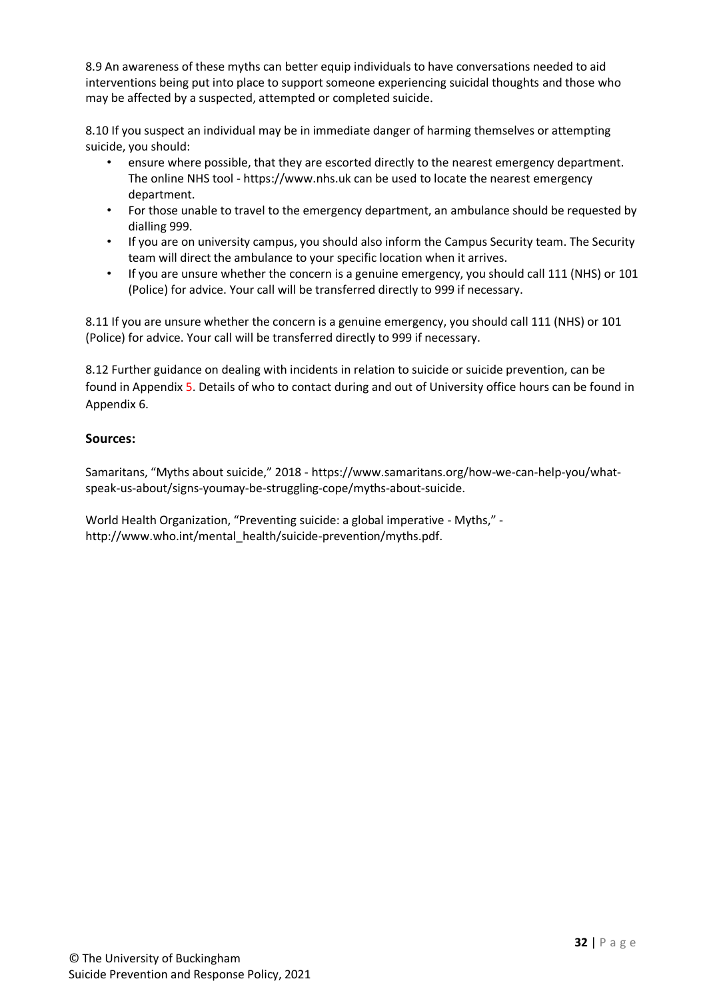8.9 An awareness of these myths can better equip individuals to have conversations needed to aid interventions being put into place to support someone experiencing suicidal thoughts and those who may be affected by a suspected, attempted or completed suicide.

8.10 If you suspect an individual may be in immediate danger of harming themselves or attempting suicide, you should:

- ensure where possible, that they are escorted directly to the nearest emergency department. The online NHS tool - https://www.nhs.uk can be used to locate the nearest emergency department.
- For those unable to travel to the emergency department, an ambulance should be requested by dialling 999.
- If you are on university campus, you should also inform the Campus Security team. The Security team will direct the ambulance to your specific location when it arrives.
- If you are unsure whether the concern is a genuine emergency, you should call 111 (NHS) or 101 (Police) for advice. Your call will be transferred directly to 999 if necessary.

8.11 If you are unsure whether the concern is a genuine emergency, you should call 111 (NHS) or 101 (Police) for advice. Your call will be transferred directly to 999 if necessary.

8.12 Further guidance on dealing with incidents in relation to suicide or suicide prevention, can be found in Appendix 5. Details of who to contact during and out of University office hours can be found in Appendix 6.

## **Sources:**

Samaritans, "Myths about suicide," 2018 - https://www.samaritans.org/how-we-can-help-you/whatspeak-us-about/signs-youmay-be-struggling-cope/myths-about-suicide.

World Health Organization, "Preventing suicide: a global imperative - Myths," http://www.who.int/mental\_health/suicide-prevention/myths.pdf.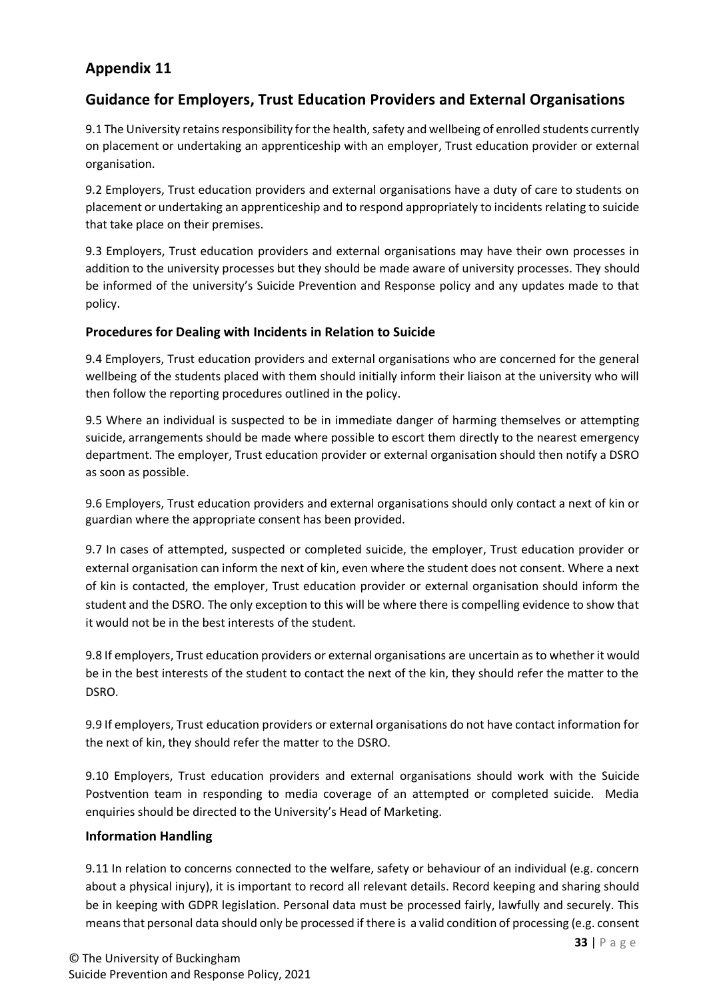# **Guidance for Employers, Trust Education Providers and External Organisations**

9.1 The University retains responsibility for the health, safety and wellbeing of enrolled students currently on placement or undertaking an apprenticeship with an employer, Trust education provider or external organisation.

9.2 Employers, Trust education providers and external organisations have a duty of care to students on placement or undertaking an apprenticeship and to respond appropriately to incidents relating to suicide that take place on their premises.

9.3 Employers, Trust education providers and external organisations may have their own processes in addition to the university processes but they should be made aware of university processes. They should be informed of the university's Suicide Prevention and Response policy and any updates made to that policy.

## **Procedures for Dealing with Incidents in Relation to Suicide**

9.4 Employers, Trust education providers and external organisations who are concerned for the general wellbeing of the students placed with them should initially inform their liaison at the university who will then follow the reporting procedures outlined in the policy.

9.5 Where an individual is suspected to be in immediate danger of harming themselves or attempting suicide, arrangements should be made where possible to escort them directly to the nearest emergency department. The employer, Trust education provider or external organisation should then notify a DSRO as soon as possible.

9.6 Employers, Trust education providers and external organisations should only contact a next of kin or guardian where the appropriate consent has been provided.

9.7 In cases of attempted, suspected or completed suicide, the employer, Trust education provider or external organisation can inform the next of kin, even where the student does not consent. Where a next of kin is contacted, the employer, Trust education provider or external organisation should inform the student and the DSRO. The only exception to this will be where there is compelling evidence to show that it would not be in the best interests of the student.

9.8 If employers, Trust education providers or external organisations are uncertain as to whether it would be in the best interests of the student to contact the next of the kin, they should refer the matter to the DSRO.

9.9 If employers, Trust education providers or external organisations do not have contact information for the next of kin, they should refer the matter to the DSRO.

9.10 Employers, Trust education providers and external organisations should work with the Suicide Postvention team in responding to media coverage of an attempted or completed suicide. Media enquiries should be directed to the University's Head of Marketing.

### **Information Handling**

9.11 In relation to concerns connected to the welfare, safety or behaviour of an individual (e.g. concern about a physical injury), it is important to record all relevant details. Record keeping and sharing should be in keeping with GDPR legislation. Personal data must be processed fairly, lawfully and securely. This means that personal data should only be processed if there is a valid condition of processing (e.g. consent